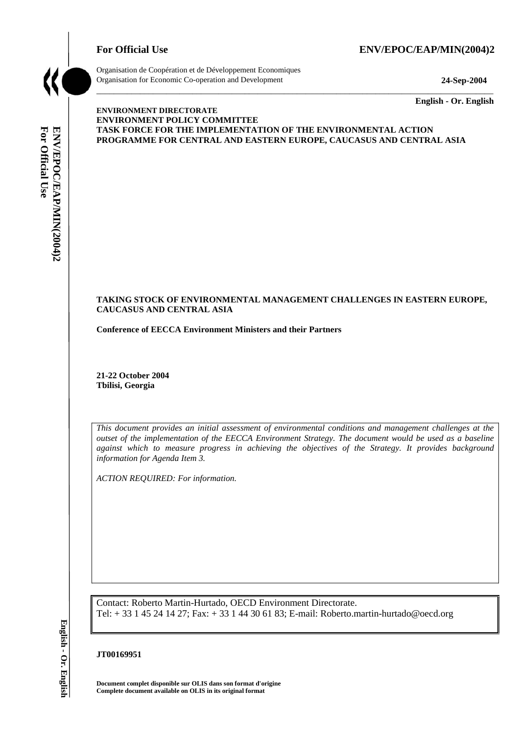# For Official Use ENV/EPOC/EAP/MIN(2004)2



Organisation de Coopération et de Développement Economiques Organisation for Economic Co-operation and Development **24-Sep-2004** 

\_\_\_\_\_\_\_\_\_\_\_\_\_ **English - Or. English** 

### **ENVIRONMENT DIRECTORATE ENVIRONMENT POLICY COMMITTEE TASK FORCE FOR THE IMPLEMENTATION OF THE ENVIRONMENTAL ACTION PROGRAMME FOR CENTRAL AND EASTERN EUROPE, CAUCASUS AND CENTRAL ASIA**

\_\_\_\_\_\_\_\_\_\_\_\_\_\_\_\_\_\_\_\_\_\_\_\_\_\_\_\_\_\_\_\_\_\_\_\_\_\_\_\_\_\_\_\_\_\_\_\_\_\_\_\_\_\_\_\_\_\_\_\_\_\_\_\_\_\_\_\_\_\_\_\_\_\_\_\_\_\_\_\_\_\_\_\_\_\_\_\_\_\_\_

### **TAKING STOCK OF ENVIRONMENTAL MANAGEMENT CHALLENGES IN EASTERN EUROPE, CAUCASUS AND CENTRAL ASIA**

**Conference of EECCA Environment Ministers and their Partners** 

**21-22 October 2004 Tbilisi, Georgia** 

*This document provides an initial assessment of environmental conditions and management challenges at the outset of the implementation of the EECCA Environment Strategy. The document would be used as a baseline against which to measure progress in achieving the objectives of the Strategy. It provides background information for Agenda Item 3.* 

*ACTION REQUIRED: For information.* 

Contact: Roberto Martin-Hurtado, OECD Environment Directorate. Tel: + 33 1 45 24 14 27; Fax: + 33 1 44 30 61 83; E-mail: Roberto.martin-hurtado@oecd.org

### **JT00169951**

**Document complet disponible sur OLIS dans son format d'origine Complete document available on OLIS in its original format**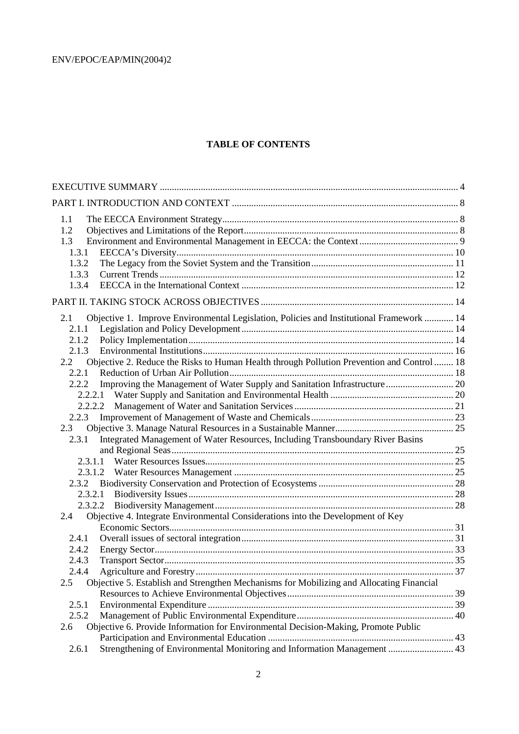# **TABLE OF CONTENTS**

| 1.1                                                                                                         |  |
|-------------------------------------------------------------------------------------------------------------|--|
| 1.2                                                                                                         |  |
| 1.3                                                                                                         |  |
| 1.3.1                                                                                                       |  |
| 1.3.2                                                                                                       |  |
| 1.3.3                                                                                                       |  |
| 1.3.4                                                                                                       |  |
|                                                                                                             |  |
| Objective 1. Improve Environmental Legislation, Policies and Institutional Framework  14<br>2.1             |  |
| 2.1.1                                                                                                       |  |
| 2.1.2                                                                                                       |  |
| 2.1.3                                                                                                       |  |
| Objective 2. Reduce the Risks to Human Health through Pollution Prevention and Control  18<br>$2.2^{\circ}$ |  |
| 2.2.1                                                                                                       |  |
| Improving the Management of Water Supply and Sanitation Infrastructure 20<br>2.2.2                          |  |
|                                                                                                             |  |
|                                                                                                             |  |
| 2.2.3                                                                                                       |  |
| 2.3                                                                                                         |  |
| Integrated Management of Water Resources, Including Transboundary River Basins<br>2.3.1                     |  |
|                                                                                                             |  |
|                                                                                                             |  |
|                                                                                                             |  |
| 2.3.2                                                                                                       |  |
|                                                                                                             |  |
|                                                                                                             |  |
| Objective 4. Integrate Environmental Considerations into the Development of Key<br>2.4                      |  |
|                                                                                                             |  |
| 2.4.1                                                                                                       |  |
| 2.4.2                                                                                                       |  |
| 2.4.3                                                                                                       |  |
| 2.4.4<br>2.5                                                                                                |  |
| Objective 5. Establish and Strengthen Mechanisms for Mobilizing and Allocating Financial                    |  |
| 2.5.1                                                                                                       |  |
| 2.5.2                                                                                                       |  |
| Objective 6. Provide Information for Environmental Decision-Making, Promote Public<br>2.6                   |  |
|                                                                                                             |  |
| Strengthening of Environmental Monitoring and Information Management  43<br>2.6.1                           |  |
|                                                                                                             |  |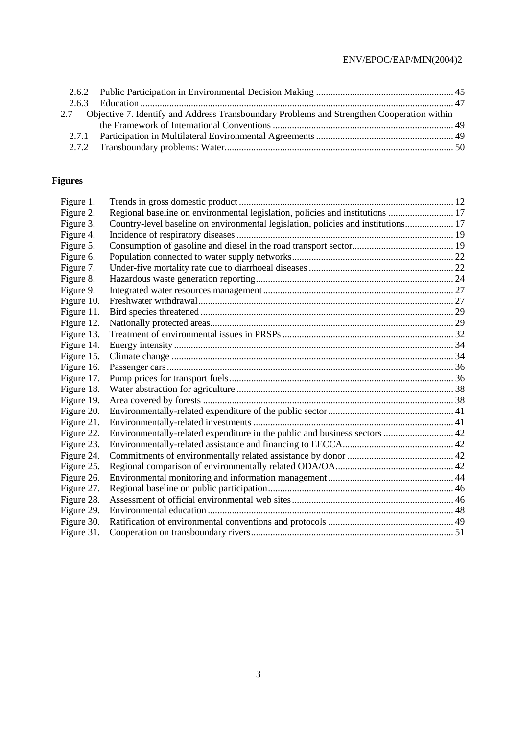| 2.7 Objective 7. Identify and Address Transboundary Problems and Strengthen Cooperation within |  |
|------------------------------------------------------------------------------------------------|--|
|                                                                                                |  |
|                                                                                                |  |
|                                                                                                |  |

# **Figures**

| Figure 1.  |                                                                                   |  |
|------------|-----------------------------------------------------------------------------------|--|
| Figure 2.  | Regional baseline on environmental legislation, policies and institutions  17     |  |
| Figure 3.  | Country-level baseline on environmental legislation, policies and institutions 17 |  |
| Figure 4.  |                                                                                   |  |
| Figure 5.  |                                                                                   |  |
| Figure 6.  |                                                                                   |  |
| Figure 7.  |                                                                                   |  |
| Figure 8.  |                                                                                   |  |
| Figure 9.  |                                                                                   |  |
| Figure 10. |                                                                                   |  |
| Figure 11. |                                                                                   |  |
| Figure 12. |                                                                                   |  |
| Figure 13. |                                                                                   |  |
| Figure 14. |                                                                                   |  |
| Figure 15. |                                                                                   |  |
| Figure 16. |                                                                                   |  |
| Figure 17. |                                                                                   |  |
| Figure 18. |                                                                                   |  |
| Figure 19. |                                                                                   |  |
| Figure 20. |                                                                                   |  |
| Figure 21. |                                                                                   |  |
| Figure 22. | Environmentally-related expenditure in the public and business sectors  42        |  |
| Figure 23. |                                                                                   |  |
| Figure 24. |                                                                                   |  |
| Figure 25. |                                                                                   |  |
| Figure 26. |                                                                                   |  |
| Figure 27. |                                                                                   |  |
| Figure 28. |                                                                                   |  |
| Figure 29. |                                                                                   |  |
| Figure 30. |                                                                                   |  |
| Figure 31. |                                                                                   |  |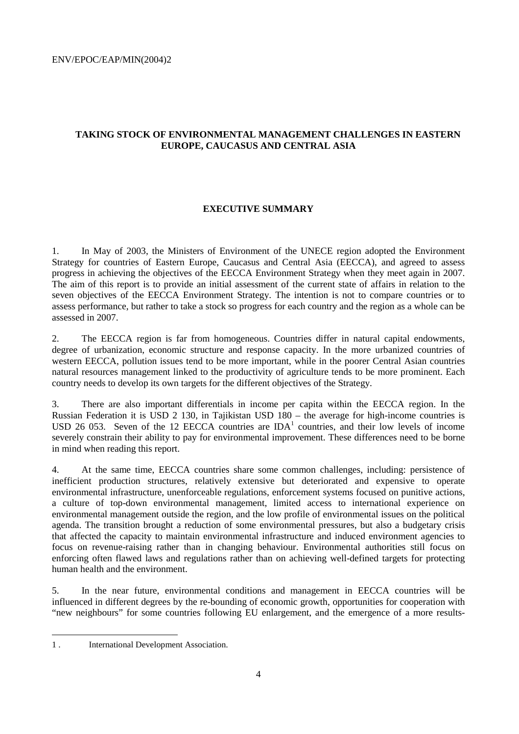# **TAKING STOCK OF ENVIRONMENTAL MANAGEMENT CHALLENGES IN EASTERN EUROPE, CAUCASUS AND CENTRAL ASIA**

# **EXECUTIVE SUMMARY**

1. In May of 2003, the Ministers of Environment of the UNECE region adopted the Environment Strategy for countries of Eastern Europe, Caucasus and Central Asia (EECCA), and agreed to assess progress in achieving the objectives of the EECCA Environment Strategy when they meet again in 2007. The aim of this report is to provide an initial assessment of the current state of affairs in relation to the seven objectives of the EECCA Environment Strategy. The intention is not to compare countries or to assess performance, but rather to take a stock so progress for each country and the region as a whole can be assessed in 2007.

2. The EECCA region is far from homogeneous. Countries differ in natural capital endowments, degree of urbanization, economic structure and response capacity. In the more urbanized countries of western EECCA, pollution issues tend to be more important, while in the poorer Central Asian countries natural resources management linked to the productivity of agriculture tends to be more prominent. Each country needs to develop its own targets for the different objectives of the Strategy.

3. There are also important differentials in income per capita within the EECCA region. In the Russian Federation it is USD 2 130, in Tajikistan USD 180 – the average for high-income countries is USD 26 053. Seven of the 12 EECCA countries are  $IDA<sup>1</sup>$  countries, and their low levels of income severely constrain their ability to pay for environmental improvement. These differences need to be borne in mind when reading this report.

4. At the same time, EECCA countries share some common challenges, including: persistence of inefficient production structures, relatively extensive but deteriorated and expensive to operate environmental infrastructure, unenforceable regulations, enforcement systems focused on punitive actions, a culture of top-down environmental management, limited access to international experience on environmental management outside the region, and the low profile of environmental issues on the political agenda. The transition brought a reduction of some environmental pressures, but also a budgetary crisis that affected the capacity to maintain environmental infrastructure and induced environment agencies to focus on revenue-raising rather than in changing behaviour. Environmental authorities still focus on enforcing often flawed laws and regulations rather than on achieving well-defined targets for protecting human health and the environment.

5. In the near future, environmental conditions and management in EECCA countries will be influenced in different degrees by the re-bounding of economic growth, opportunities for cooperation with "new neighbours" for some countries following EU enlargement, and the emergence of a more results-

 $\overline{a}$ 

<sup>1 .</sup> International Development Association.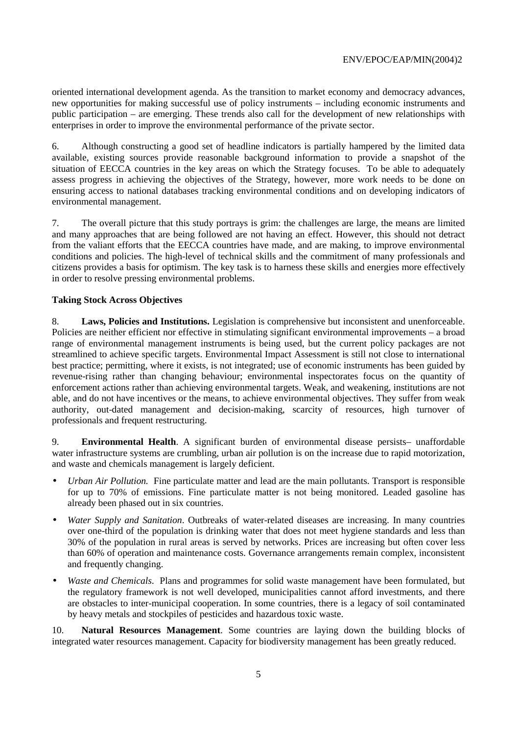oriented international development agenda. As the transition to market economy and democracy advances, new opportunities for making successful use of policy instruments – including economic instruments and public participation – are emerging. These trends also call for the development of new relationships with enterprises in order to improve the environmental performance of the private sector.

6. Although constructing a good set of headline indicators is partially hampered by the limited data available, existing sources provide reasonable background information to provide a snapshot of the situation of EECCA countries in the key areas on which the Strategy focuses. To be able to adequately assess progress in achieving the objectives of the Strategy, however, more work needs to be done on ensuring access to national databases tracking environmental conditions and on developing indicators of environmental management.

7. The overall picture that this study portrays is grim: the challenges are large, the means are limited and many approaches that are being followed are not having an effect. However, this should not detract from the valiant efforts that the EECCA countries have made, and are making, to improve environmental conditions and policies. The high-level of technical skills and the commitment of many professionals and citizens provides a basis for optimism. The key task is to harness these skills and energies more effectively in order to resolve pressing environmental problems.

# **Taking Stock Across Objectives**

8. **Laws, Policies and Institutions.** Legislation is comprehensive but inconsistent and unenforceable. Policies are neither efficient nor effective in stimulating significant environmental improvements – a broad range of environmental management instruments is being used, but the current policy packages are not streamlined to achieve specific targets. Environmental Impact Assessment is still not close to international best practice; permitting, where it exists, is not integrated; use of economic instruments has been guided by revenue-rising rather than changing behaviour; environmental inspectorates focus on the quantity of enforcement actions rather than achieving environmental targets. Weak, and weakening, institutions are not able, and do not have incentives or the means, to achieve environmental objectives. They suffer from weak authority, out-dated management and decision-making, scarcity of resources, high turnover of professionals and frequent restructuring.

9. **Environmental Health**. A significant burden of environmental disease persists– unaffordable water infrastructure systems are crumbling, urban air pollution is on the increase due to rapid motorization, and waste and chemicals management is largely deficient.

- *Urban Air Pollution.* Fine particulate matter and lead are the main pollutants. Transport is responsible for up to 70% of emissions. Fine particulate matter is not being monitored. Leaded gasoline has already been phased out in six countries.
- *Water Supply and Sanitation*. Outbreaks of water-related diseases are increasing. In many countries over one-third of the population is drinking water that does not meet hygiene standards and less than 30% of the population in rural areas is served by networks. Prices are increasing but often cover less than 60% of operation and maintenance costs. Governance arrangements remain complex, inconsistent and frequently changing.
- *Waste and Chemicals*. Plans and programmes for solid waste management have been formulated, but the regulatory framework is not well developed, municipalities cannot afford investments, and there are obstacles to inter-municipal cooperation. In some countries, there is a legacy of soil contaminated by heavy metals and stockpiles of pesticides and hazardous toxic waste.

10. **Natural Resources Management**. Some countries are laying down the building blocks of integrated water resources management. Capacity for biodiversity management has been greatly reduced.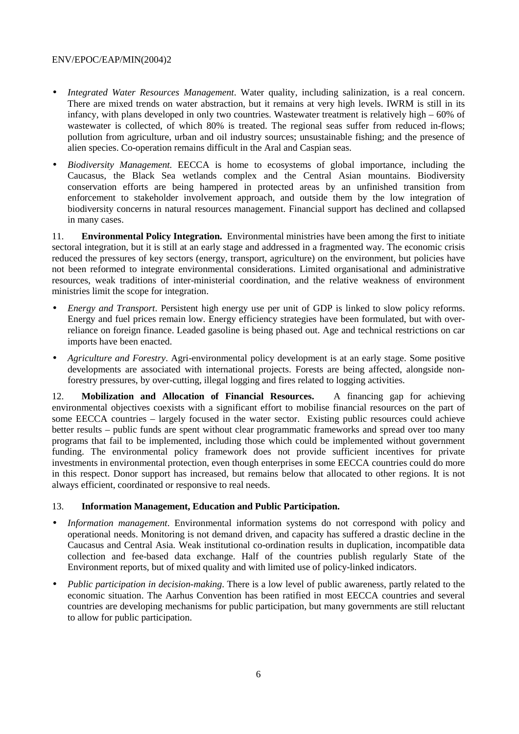- *Integrated Water Resources Management*. Water quality, including salinization, is a real concern. There are mixed trends on water abstraction, but it remains at very high levels. IWRM is still in its infancy, with plans developed in only two countries. Wastewater treatment is relatively high – 60% of wastewater is collected, of which 80% is treated. The regional seas suffer from reduced in-flows; pollution from agriculture, urban and oil industry sources; unsustainable fishing; and the presence of alien species. Co-operation remains difficult in the Aral and Caspian seas.
- *Biodiversity Management.* EECCA is home to ecosystems of global importance, including the Caucasus, the Black Sea wetlands complex and the Central Asian mountains. Biodiversity conservation efforts are being hampered in protected areas by an unfinished transition from enforcement to stakeholder involvement approach, and outside them by the low integration of biodiversity concerns in natural resources management. Financial support has declined and collapsed in many cases.

11. **Environmental Policy Integration.** Environmental ministries have been among the first to initiate sectoral integration, but it is still at an early stage and addressed in a fragmented way. The economic crisis reduced the pressures of key sectors (energy, transport, agriculture) on the environment, but policies have not been reformed to integrate environmental considerations. Limited organisational and administrative resources, weak traditions of inter-ministerial coordination, and the relative weakness of environment ministries limit the scope for integration.

- *Energy and Transport*. Persistent high energy use per unit of GDP is linked to slow policy reforms. Energy and fuel prices remain low. Energy efficiency strategies have been formulated, but with overreliance on foreign finance. Leaded gasoline is being phased out. Age and technical restrictions on car imports have been enacted.
- *Agriculture and Forestry*. Agri-environmental policy development is at an early stage. Some positive developments are associated with international projects. Forests are being affected, alongside nonforestry pressures, by over-cutting, illegal logging and fires related to logging activities.

12. **Mobilization and Allocation of Financial Resources.** A financing gap for achieving environmental objectives coexists with a significant effort to mobilise financial resources on the part of some EECCA countries – largely focused in the water sector. Existing public resources could achieve better results – public funds are spent without clear programmatic frameworks and spread over too many programs that fail to be implemented, including those which could be implemented without government funding. The environmental policy framework does not provide sufficient incentives for private investments in environmental protection, even though enterprises in some EECCA countries could do more in this respect. Donor support has increased, but remains below that allocated to other regions. It is not always efficient, coordinated or responsive to real needs.

### 13. **Information Management, Education and Public Participation.**

- *Information management*. Environmental information systems do not correspond with policy and operational needs. Monitoring is not demand driven, and capacity has suffered a drastic decline in the Caucasus and Central Asia. Weak institutional co-ordination results in duplication, incompatible data collection and fee-based data exchange. Half of the countries publish regularly State of the Environment reports, but of mixed quality and with limited use of policy-linked indicators.
- *Public participation in decision-making*. There is a low level of public awareness, partly related to the economic situation. The Aarhus Convention has been ratified in most EECCA countries and several countries are developing mechanisms for public participation, but many governments are still reluctant to allow for public participation.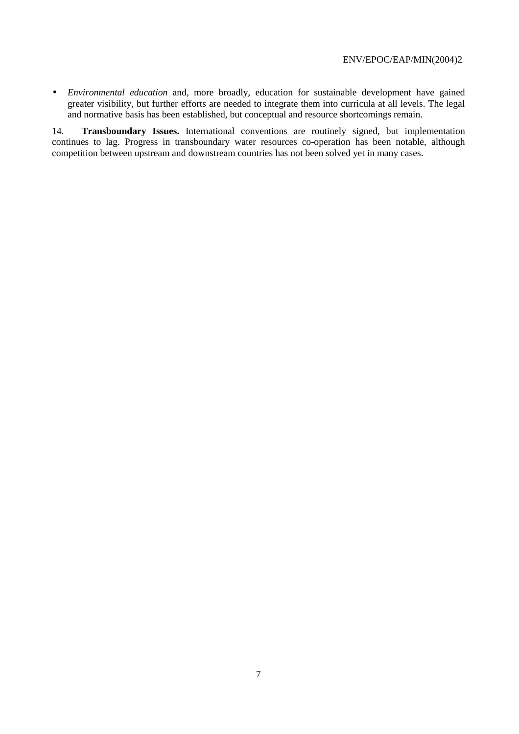• *Environmental education* and, more broadly, education for sustainable development have gained greater visibility, but further efforts are needed to integrate them into curricula at all levels. The legal and normative basis has been established, but conceptual and resource shortcomings remain.

14. **Transboundary Issues.** International conventions are routinely signed, but implementation continues to lag. Progress in transboundary water resources co-operation has been notable, although competition between upstream and downstream countries has not been solved yet in many cases.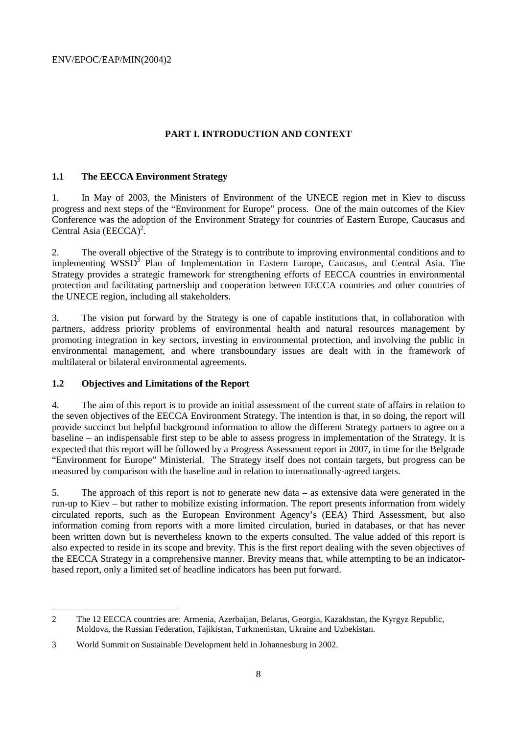# **PART I. INTRODUCTION AND CONTEXT**

### **1.1 The EECCA Environment Strategy**

1. In May of 2003, the Ministers of Environment of the UNECE region met in Kiev to discuss progress and next steps of the "Environment for Europe" process. One of the main outcomes of the Kiev Conference was the adoption of the Environment Strategy for countries of Eastern Europe, Caucasus and Central Asia  $(EECCA)^2$ .

2. The overall objective of the Strategy is to contribute to improving environmental conditions and to implementing WSSD<sup>3</sup> Plan of Implementation in Eastern Europe, Caucasus, and Central Asia. The Strategy provides a strategic framework for strengthening efforts of EECCA countries in environmental protection and facilitating partnership and cooperation between EECCA countries and other countries of the UNECE region, including all stakeholders.

3. The vision put forward by the Strategy is one of capable institutions that, in collaboration with partners, address priority problems of environmental health and natural resources management by promoting integration in key sectors, investing in environmental protection, and involving the public in environmental management, and where transboundary issues are dealt with in the framework of multilateral or bilateral environmental agreements.

### **1.2 Objectives and Limitations of the Report**

 $\overline{a}$ 

4. The aim of this report is to provide an initial assessment of the current state of affairs in relation to the seven objectives of the EECCA Environment Strategy. The intention is that, in so doing, the report will provide succinct but helpful background information to allow the different Strategy partners to agree on a baseline – an indispensable first step to be able to assess progress in implementation of the Strategy. It is expected that this report will be followed by a Progress Assessment report in 2007, in time for the Belgrade "Environment for Europe" Ministerial. The Strategy itself does not contain targets, but progress can be measured by comparison with the baseline and in relation to internationally-agreed targets.

5. The approach of this report is not to generate new data – as extensive data were generated in the run-up to Kiev – but rather to mobilize existing information. The report presents information from widely circulated reports, such as the European Environment Agency's (EEA) Third Assessment, but also information coming from reports with a more limited circulation, buried in databases, or that has never been written down but is nevertheless known to the experts consulted. The value added of this report is also expected to reside in its scope and brevity. This is the first report dealing with the seven objectives of the EECCA Strategy in a comprehensive manner. Brevity means that, while attempting to be an indicatorbased report, only a limited set of headline indicators has been put forward.

<sup>2</sup> The 12 EECCA countries are: Armenia, Azerbaijan, Belarus, Georgia, Kazakhstan, the Kyrgyz Republic, Moldova, the Russian Federation, Tajikistan, Turkmenistan, Ukraine and Uzbekistan.

<sup>3</sup> World Summit on Sustainable Development held in Johannesburg in 2002.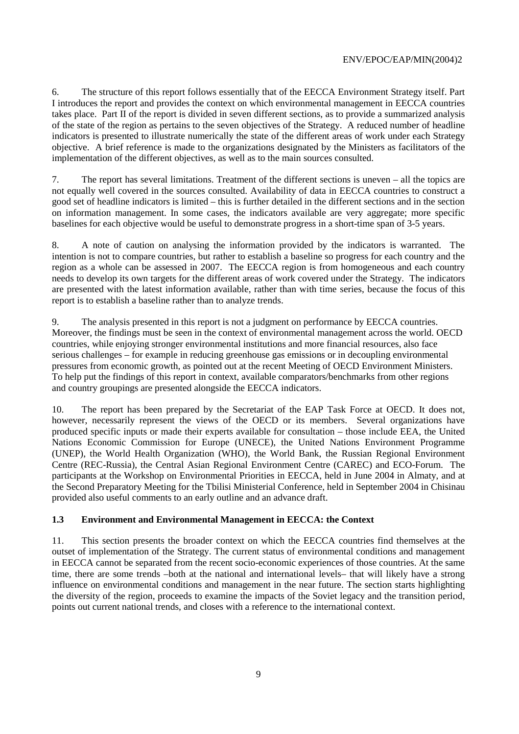6. The structure of this report follows essentially that of the EECCA Environment Strategy itself. Part I introduces the report and provides the context on which environmental management in EECCA countries takes place. Part II of the report is divided in seven different sections, as to provide a summarized analysis of the state of the region as pertains to the seven objectives of the Strategy. A reduced number of headline indicators is presented to illustrate numerically the state of the different areas of work under each Strategy objective. A brief reference is made to the organizations designated by the Ministers as facilitators of the implementation of the different objectives, as well as to the main sources consulted.

7. The report has several limitations. Treatment of the different sections is uneven – all the topics are not equally well covered in the sources consulted. Availability of data in EECCA countries to construct a good set of headline indicators is limited – this is further detailed in the different sections and in the section on information management. In some cases, the indicators available are very aggregate; more specific baselines for each objective would be useful to demonstrate progress in a short-time span of 3-5 years.

8. A note of caution on analysing the information provided by the indicators is warranted. The intention is not to compare countries, but rather to establish a baseline so progress for each country and the region as a whole can be assessed in 2007. The EECCA region is from homogeneous and each country needs to develop its own targets for the different areas of work covered under the Strategy. The indicators are presented with the latest information available, rather than with time series, because the focus of this report is to establish a baseline rather than to analyze trends.

9. The analysis presented in this report is not a judgment on performance by EECCA countries. Moreover, the findings must be seen in the context of environmental management across the world. OECD countries, while enjoying stronger environmental institutions and more financial resources, also face serious challenges – for example in reducing greenhouse gas emissions or in decoupling environmental pressures from economic growth, as pointed out at the recent Meeting of OECD Environment Ministers. To help put the findings of this report in context, available comparators/benchmarks from other regions and country groupings are presented alongside the EECCA indicators.

10. The report has been prepared by the Secretariat of the EAP Task Force at OECD. It does not, however, necessarily represent the views of the OECD or its members. Several organizations have produced specific inputs or made their experts available for consultation – those include EEA, the United Nations Economic Commission for Europe (UNECE), the United Nations Environment Programme (UNEP), the World Health Organization (WHO), the World Bank, the Russian Regional Environment Centre (REC-Russia), the Central Asian Regional Environment Centre (CAREC) and ECO-Forum. The participants at the Workshop on Environmental Priorities in EECCA, held in June 2004 in Almaty, and at the Second Preparatory Meeting for the Tbilisi Ministerial Conference, held in September 2004 in Chisinau provided also useful comments to an early outline and an advance draft.

### **1.3 Environment and Environmental Management in EECCA: the Context**

11. This section presents the broader context on which the EECCA countries find themselves at the outset of implementation of the Strategy. The current status of environmental conditions and management in EECCA cannot be separated from the recent socio-economic experiences of those countries. At the same time, there are some trends –both at the national and international levels– that will likely have a strong influence on environmental conditions and management in the near future. The section starts highlighting the diversity of the region, proceeds to examine the impacts of the Soviet legacy and the transition period, points out current national trends, and closes with a reference to the international context.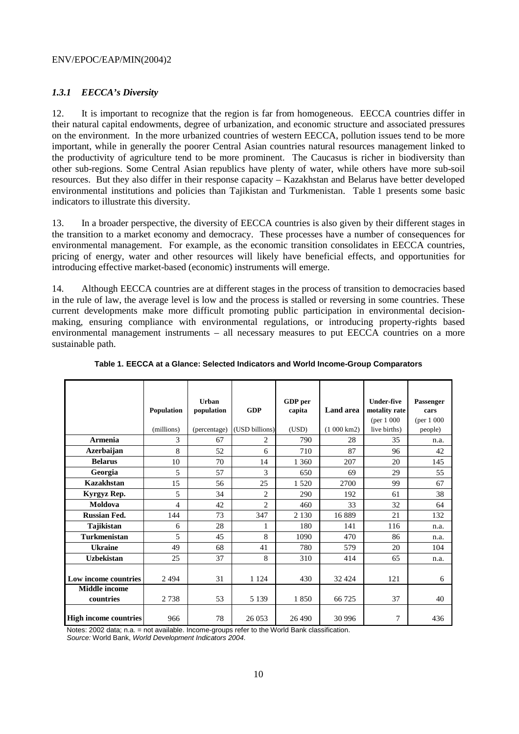# *1.3.1 EECCA's Diversity*

12. It is important to recognize that the region is far from homogeneous. EECCA countries differ in their natural capital endowments, degree of urbanization, and economic structure and associated pressures on the environment. In the more urbanized countries of western EECCA, pollution issues tend to be more important, while in generally the poorer Central Asian countries natural resources management linked to the productivity of agriculture tend to be more prominent. The Caucasus is richer in biodiversity than other sub-regions. Some Central Asian republics have plenty of water, while others have more sub-soil resources. But they also differ in their response capacity – Kazakhstan and Belarus have better developed environmental institutions and policies than Tajikistan and Turkmenistan. Table 1 presents some basic indicators to illustrate this diversity.

13. In a broader perspective, the diversity of EECCA countries is also given by their different stages in the transition to a market economy and democracy. These processes have a number of consequences for environmental management. For example, as the economic transition consolidates in EECCA countries, pricing of energy, water and other resources will likely have beneficial effects, and opportunities for introducing effective market-based (economic) instruments will emerge.

14. Although EECCA countries are at different stages in the process of transition to democracies based in the rule of law, the average level is low and the process is stalled or reversing in some countries. These current developments make more difficult promoting public participation in environmental decisionmaking, ensuring compliance with environmental regulations, or introducing property-rights based environmental management instruments – all necessary measures to put EECCA countries on a more sustainable path.

|                                   | Population<br>(millions) | Urban<br>population<br>(percentage) | <b>GDP</b><br>(USD billions) | GDP per<br>capita<br>(USD) | <b>Land area</b><br>$(1000 \text{ km2})$ | <b>Under-five</b><br>motality rate<br>${\rm (per\ 1\ 000)}$<br>live births) | Passenger<br>cars<br>(per 1 000)<br>people) |
|-----------------------------------|--------------------------|-------------------------------------|------------------------------|----------------------------|------------------------------------------|-----------------------------------------------------------------------------|---------------------------------------------|
| Armenia                           | 3                        | 67                                  | 2                            | 790                        | 28                                       | 35                                                                          | n.a.                                        |
| Azerbaijan                        | 8                        | 52                                  | 6                            | 710                        | 87                                       | 96                                                                          | 42                                          |
| <b>Belarus</b>                    | 10                       | 70                                  | 14                           | 1 3 6 0                    | 207                                      | 20                                                                          | 145                                         |
| Georgia                           | 5                        | 57                                  | 3                            | 650                        | 69                                       | 29                                                                          | 55                                          |
| Kazakhstan                        | 15                       | 56                                  | 25                           | 1520                       | 2700                                     | 99                                                                          | 67                                          |
| Kyrgyz Rep.                       | 5                        | 34                                  | $\overline{2}$               | 290                        | 192                                      | 61                                                                          | 38                                          |
| Moldova                           | 4                        | 42                                  | $\mathfrak{D}$               | 460                        | 33                                       | 32                                                                          | 64                                          |
| <b>Russian Fed.</b>               | 144                      | 73                                  | 347                          | 2 1 3 0                    | 16889                                    | 21                                                                          | 132                                         |
| Tajikistan                        | 6                        | 28                                  | 1                            | 180                        | 141                                      | 116                                                                         | n.a.                                        |
| <b>Turkmenistan</b>               | 5                        | 45                                  | 8                            | 1090                       | 470                                      | 86                                                                          | n.a.                                        |
| <b>Ukraine</b>                    | 49                       | 68                                  | 41                           | 780                        | 579                                      | 20                                                                          | 104                                         |
| <b>Uzbekistan</b>                 | 25                       | 37                                  | 8                            | 310                        | 414                                      | 65                                                                          | n.a.                                        |
| Low income countries              | 2494                     | 31                                  | 1 1 2 4                      | 430                        | 32 4 24                                  | 121                                                                         | 6                                           |
| <b>Middle</b> income<br>countries | 2738                     | 53                                  | 5 1 3 9                      | 1850                       | 66 725                                   | 37                                                                          | 40                                          |
| <b>High income countries</b>      | 966                      | 78                                  | 26 053                       | 26 490                     | 30 996                                   | 7                                                                           | 436                                         |

**Table 1. EECCA at a Glance: Selected Indicators and World Income-Group Comparators** 

Notes: 2002 data; n.a. = not available. Income-groups refer to the World Bank classification.

Source: World Bank, World Development Indicators 2004.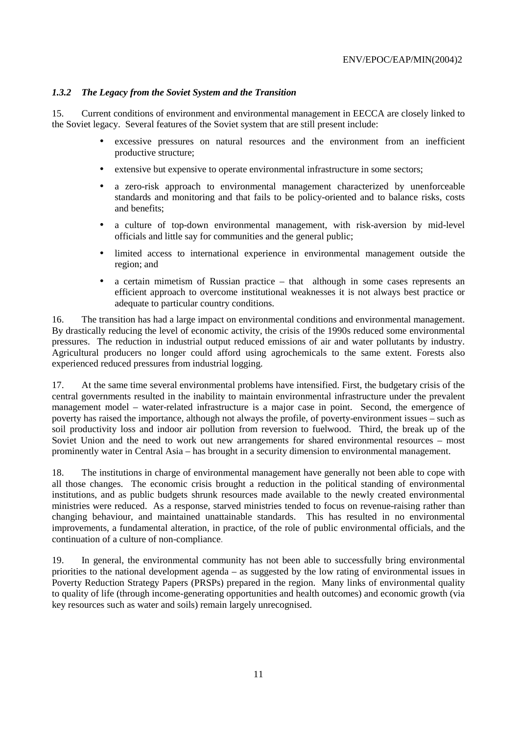# *1.3.2 The Legacy from the Soviet System and the Transition*

15. Current conditions of environment and environmental management in EECCA are closely linked to the Soviet legacy. Several features of the Soviet system that are still present include:

- excessive pressures on natural resources and the environment from an inefficient productive structure;
- extensive but expensive to operate environmental infrastructure in some sectors;
- a zero-risk approach to environmental management characterized by unenforceable standards and monitoring and that fails to be policy-oriented and to balance risks, costs and benefits;
- a culture of top-down environmental management, with risk-aversion by mid-level officials and little say for communities and the general public;
- limited access to international experience in environmental management outside the region; and
- a certain mimetism of Russian practice that although in some cases represents an efficient approach to overcome institutional weaknesses it is not always best practice or adequate to particular country conditions.

16. The transition has had a large impact on environmental conditions and environmental management. By drastically reducing the level of economic activity, the crisis of the 1990s reduced some environmental pressures. The reduction in industrial output reduced emissions of air and water pollutants by industry. Agricultural producers no longer could afford using agrochemicals to the same extent. Forests also experienced reduced pressures from industrial logging.

17. At the same time several environmental problems have intensified. First, the budgetary crisis of the central governments resulted in the inability to maintain environmental infrastructure under the prevalent management model – water-related infrastructure is a major case in point. Second, the emergence of poverty has raised the importance, although not always the profile, of poverty-environment issues – such as soil productivity loss and indoor air pollution from reversion to fuelwood. Third, the break up of the Soviet Union and the need to work out new arrangements for shared environmental resources – most prominently water in Central Asia – has brought in a security dimension to environmental management.

18. The institutions in charge of environmental management have generally not been able to cope with all those changes. The economic crisis brought a reduction in the political standing of environmental institutions, and as public budgets shrunk resources made available to the newly created environmental ministries were reduced. As a response, starved ministries tended to focus on revenue-raising rather than changing behaviour, and maintained unattainable standards. This has resulted in no environmental improvements, a fundamental alteration, in practice, of the role of public environmental officials, and the continuation of a culture of non-compliance.

19. In general, the environmental community has not been able to successfully bring environmental priorities to the national development agenda – as suggested by the low rating of environmental issues in Poverty Reduction Strategy Papers (PRSPs) prepared in the region. Many links of environmental quality to quality of life (through income-generating opportunities and health outcomes) and economic growth (via key resources such as water and soils) remain largely unrecognised.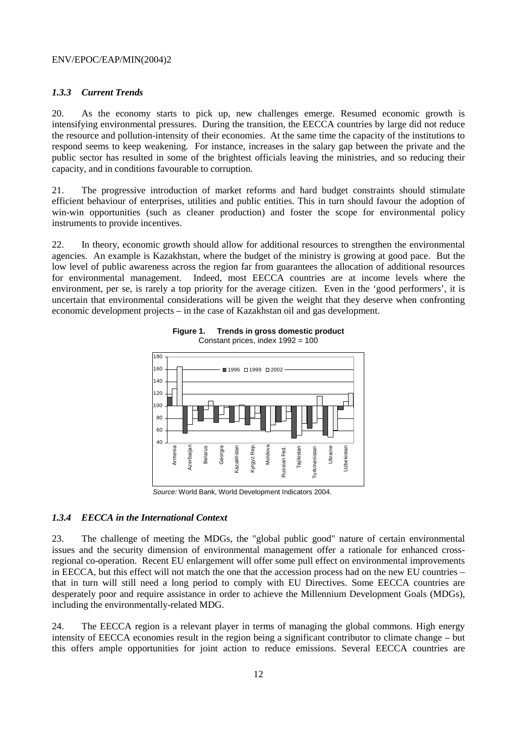#### *1.3.3 Current Trends*

20. As the economy starts to pick up, new challenges emerge. Resumed economic growth is intensifying environmental pressures. During the transition, the EECCA countries by large did not reduce the resource and pollution-intensity of their economies. At the same time the capacity of the institutions to respond seems to keep weakening. For instance, increases in the salary gap between the private and the public sector has resulted in some of the brightest officials leaving the ministries, and so reducing their capacity, and in conditions favourable to corruption.

21. The progressive introduction of market reforms and hard budget constraints should stimulate efficient behaviour of enterprises, utilities and public entities. This in turn should favour the adoption of win-win opportunities (such as cleaner production) and foster the scope for environmental policy instruments to provide incentives.

22. In theory, economic growth should allow for additional resources to strengthen the environmental agencies. An example is Kazakhstan, where the budget of the ministry is growing at good pace. But the low level of public awareness across the region far from guarantees the allocation of additional resources for environmental management. Indeed, most EECCA countries are at income levels where the environment, per se, is rarely a top priority for the average citizen. Even in the 'good performers', it is uncertain that environmental considerations will be given the weight that they deserve when confronting economic development projects – in the case of Kazakhstan oil and gas development.



**Figure 1. Trends in gross domestic product**  Constant prices, index 1992 = 100

Source: World Bank, World Development Indicators 2004.

#### *1.3.4 EECCA in the International Context*

23. The challenge of meeting the MDGs, the "global public good" nature of certain environmental issues and the security dimension of environmental management offer a rationale for enhanced crossregional co-operation. Recent EU enlargement will offer some pull effect on environmental improvements in EECCA, but this effect will not match the one that the accession process had on the new EU countries – that in turn will still need a long period to comply with EU Directives. Some EECCA countries are desperately poor and require assistance in order to achieve the Millennium Development Goals (MDGs), including the environmentally-related MDG.

24. The EECCA region is a relevant player in terms of managing the global commons. High energy intensity of EECCA economies result in the region being a significant contributor to climate change – but this offers ample opportunities for joint action to reduce emissions. Several EECCA countries are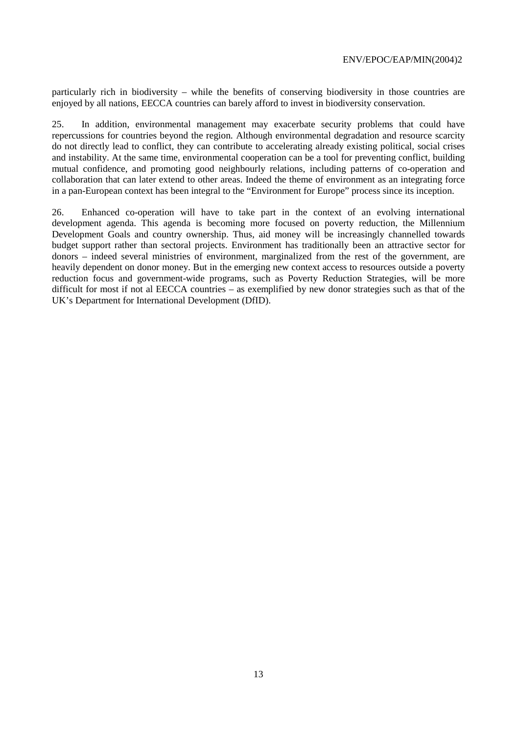particularly rich in biodiversity – while the benefits of conserving biodiversity in those countries are enjoyed by all nations, EECCA countries can barely afford to invest in biodiversity conservation.

25. In addition, environmental management may exacerbate security problems that could have repercussions for countries beyond the region. Although environmental degradation and resource scarcity do not directly lead to conflict, they can contribute to accelerating already existing political, social crises and instability. At the same time, environmental cooperation can be a tool for preventing conflict, building mutual confidence, and promoting good neighbourly relations, including patterns of co-operation and collaboration that can later extend to other areas. Indeed the theme of environment as an integrating force in a pan-European context has been integral to the "Environment for Europe" process since its inception.

26. Enhanced co-operation will have to take part in the context of an evolving international development agenda. This agenda is becoming more focused on poverty reduction, the Millennium Development Goals and country ownership. Thus, aid money will be increasingly channelled towards budget support rather than sectoral projects. Environment has traditionally been an attractive sector for donors – indeed several ministries of environment, marginalized from the rest of the government, are heavily dependent on donor money. But in the emerging new context access to resources outside a poverty reduction focus and government-wide programs, such as Poverty Reduction Strategies, will be more difficult for most if not al EECCA countries – as exemplified by new donor strategies such as that of the UK's Department for International Development (DfID).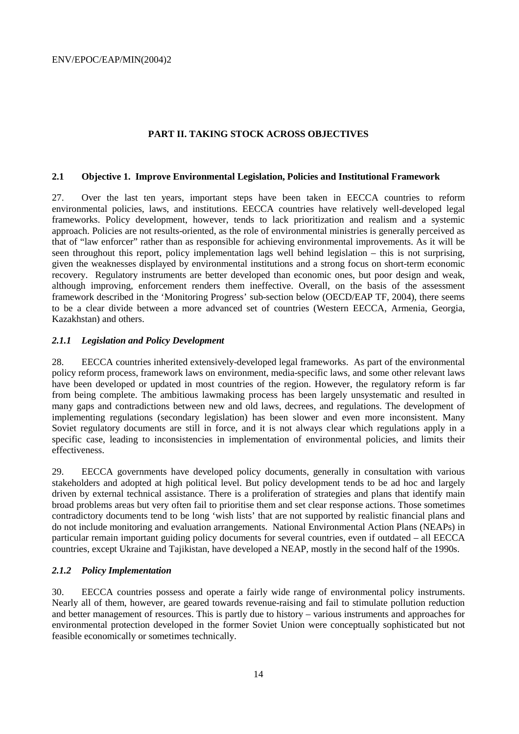### **PART II. TAKING STOCK ACROSS OBJECTIVES**

#### **2.1 Objective 1. Improve Environmental Legislation, Policies and Institutional Framework**

27. Over the last ten years, important steps have been taken in EECCA countries to reform environmental policies, laws, and institutions. EECCA countries have relatively well-developed legal frameworks. Policy development, however, tends to lack prioritization and realism and a systemic approach. Policies are not results-oriented, as the role of environmental ministries is generally perceived as that of "law enforcer" rather than as responsible for achieving environmental improvements. As it will be seen throughout this report, policy implementation lags well behind legislation – this is not surprising, given the weaknesses displayed by environmental institutions and a strong focus on short-term economic recovery. Regulatory instruments are better developed than economic ones, but poor design and weak, although improving, enforcement renders them ineffective. Overall, on the basis of the assessment framework described in the 'Monitoring Progress' sub-section below (OECD/EAP TF, 2004), there seems to be a clear divide between a more advanced set of countries (Western EECCA, Armenia, Georgia, Kazakhstan) and others.

### *2.1.1 Legislation and Policy Development*

28. EECCA countries inherited extensively-developed legal frameworks. As part of the environmental policy reform process, framework laws on environment, media-specific laws, and some other relevant laws have been developed or updated in most countries of the region. However, the regulatory reform is far from being complete. The ambitious lawmaking process has been largely unsystematic and resulted in many gaps and contradictions between new and old laws, decrees, and regulations. The development of implementing regulations (secondary legislation) has been slower and even more inconsistent. Many Soviet regulatory documents are still in force, and it is not always clear which regulations apply in a specific case, leading to inconsistencies in implementation of environmental policies, and limits their effectiveness.

29. EECCA governments have developed policy documents, generally in consultation with various stakeholders and adopted at high political level. But policy development tends to be ad hoc and largely driven by external technical assistance. There is a proliferation of strategies and plans that identify main broad problems areas but very often fail to prioritise them and set clear response actions. Those sometimes contradictory documents tend to be long 'wish lists' that are not supported by realistic financial plans and do not include monitoring and evaluation arrangements. National Environmental Action Plans (NEAPs) in particular remain important guiding policy documents for several countries, even if outdated – all EECCA countries, except Ukraine and Tajikistan, have developed a NEAP, mostly in the second half of the 1990s.

### *2.1.2 Policy Implementation*

30. EECCA countries possess and operate a fairly wide range of environmental policy instruments. Nearly all of them, however, are geared towards revenue-raising and fail to stimulate pollution reduction and better management of resources. This is partly due to history – various instruments and approaches for environmental protection developed in the former Soviet Union were conceptually sophisticated but not feasible economically or sometimes technically.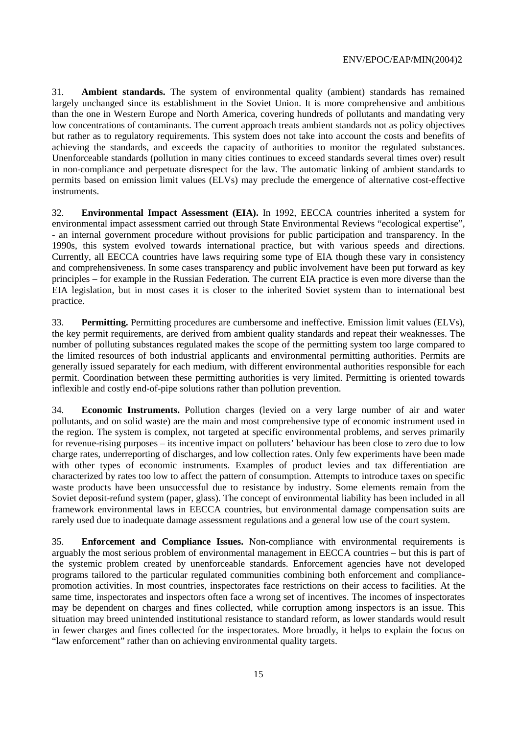31. **Ambient standards.** The system of environmental quality (ambient) standards has remained largely unchanged since its establishment in the Soviet Union. It is more comprehensive and ambitious than the one in Western Europe and North America, covering hundreds of pollutants and mandating very low concentrations of contaminants. The current approach treats ambient standards not as policy objectives but rather as to regulatory requirements. This system does not take into account the costs and benefits of achieving the standards, and exceeds the capacity of authorities to monitor the regulated substances. Unenforceable standards (pollution in many cities continues to exceed standards several times over) result in non-compliance and perpetuate disrespect for the law. The automatic linking of ambient standards to permits based on emission limit values (ELVs) may preclude the emergence of alternative cost-effective instruments.

32. **Environmental Impact Assessment (EIA).** In 1992, EECCA countries inherited a system for environmental impact assessment carried out through State Environmental Reviews "ecological expertise", - an internal government procedure without provisions for public participation and transparency. In the 1990s, this system evolved towards international practice, but with various speeds and directions. Currently, all EECCA countries have laws requiring some type of EIA though these vary in consistency and comprehensiveness. In some cases transparency and public involvement have been put forward as key principles – for example in the Russian Federation. The current EIA practice is even more diverse than the EIA legislation, but in most cases it is closer to the inherited Soviet system than to international best practice.

33. **Permitting.** Permitting procedures are cumbersome and ineffective. Emission limit values (ELVs), the key permit requirements, are derived from ambient quality standards and repeat their weaknesses. The number of polluting substances regulated makes the scope of the permitting system too large compared to the limited resources of both industrial applicants and environmental permitting authorities. Permits are generally issued separately for each medium, with different environmental authorities responsible for each permit. Coordination between these permitting authorities is very limited. Permitting is oriented towards inflexible and costly end-of-pipe solutions rather than pollution prevention.

34. **Economic Instruments.** Pollution charges (levied on a very large number of air and water pollutants, and on solid waste) are the main and most comprehensive type of economic instrument used in the region. The system is complex, not targeted at specific environmental problems, and serves primarily for revenue-rising purposes – its incentive impact on polluters' behaviour has been close to zero due to low charge rates, underreporting of discharges, and low collection rates. Only few experiments have been made with other types of economic instruments. Examples of product levies and tax differentiation are characterized by rates too low to affect the pattern of consumption. Attempts to introduce taxes on specific waste products have been unsuccessful due to resistance by industry. Some elements remain from the Soviet deposit-refund system (paper, glass). The concept of environmental liability has been included in all framework environmental laws in EECCA countries, but environmental damage compensation suits are rarely used due to inadequate damage assessment regulations and a general low use of the court system.

35. **Enforcement and Compliance Issues.** Non-compliance with environmental requirements is arguably the most serious problem of environmental management in EECCA countries – but this is part of the systemic problem created by unenforceable standards. Enforcement agencies have not developed programs tailored to the particular regulated communities combining both enforcement and compliancepromotion activities. In most countries, inspectorates face restrictions on their access to facilities. At the same time, inspectorates and inspectors often face a wrong set of incentives. The incomes of inspectorates may be dependent on charges and fines collected, while corruption among inspectors is an issue. This situation may breed unintended institutional resistance to standard reform, as lower standards would result in fewer charges and fines collected for the inspectorates. More broadly, it helps to explain the focus on "law enforcement" rather than on achieving environmental quality targets.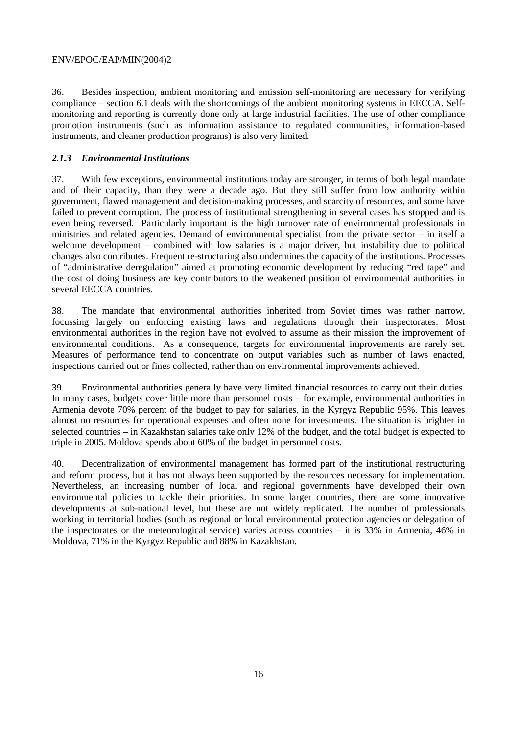36. Besides inspection, ambient monitoring and emission self-monitoring are necessary for verifying compliance – section 6.1 deals with the shortcomings of the ambient monitoring systems in EECCA. Selfmonitoring and reporting is currently done only at large industrial facilities. The use of other compliance promotion instruments (such as information assistance to regulated communities, information-based instruments, and cleaner production programs) is also very limited.

# *2.1.3 Environmental Institutions*

37. With few exceptions, environmental institutions today are stronger, in terms of both legal mandate and of their capacity, than they were a decade ago. But they still suffer from low authority within government, flawed management and decision-making processes, and scarcity of resources, and some have failed to prevent corruption. The process of institutional strengthening in several cases has stopped and is even being reversed. Particularly important is the high turnover rate of environmental professionals in ministries and related agencies. Demand of environmental specialist from the private sector – in itself a welcome development – combined with low salaries is a major driver, but instability due to political changes also contributes. Frequent re-structuring also undermines the capacity of the institutions. Processes of "administrative deregulation" aimed at promoting economic development by reducing "red tape" and the cost of doing business are key contributors to the weakened position of environmental authorities in several EECCA countries.

38. The mandate that environmental authorities inherited from Soviet times was rather narrow, focussing largely on enforcing existing laws and regulations through their inspectorates. Most environmental authorities in the region have not evolved to assume as their mission the improvement of environmental conditions. As a consequence, targets for environmental improvements are rarely set. Measures of performance tend to concentrate on output variables such as number of laws enacted, inspections carried out or fines collected, rather than on environmental improvements achieved.

39. Environmental authorities generally have very limited financial resources to carry out their duties. In many cases, budgets cover little more than personnel costs – for example, environmental authorities in Armenia devote 70% percent of the budget to pay for salaries, in the Kyrgyz Republic 95%. This leaves almost no resources for operational expenses and often none for investments. The situation is brighter in selected countries – in Kazakhstan salaries take only 12% of the budget, and the total budget is expected to triple in 2005. Moldova spends about 60% of the budget in personnel costs.

40. Decentralization of environmental management has formed part of the institutional restructuring and reform process, but it has not always been supported by the resources necessary for implementation. Nevertheless, an increasing number of local and regional governments have developed their own environmental policies to tackle their priorities. In some larger countries, there are some innovative developments at sub-national level, but these are not widely replicated. The number of professionals working in territorial bodies (such as regional or local environmental protection agencies or delegation of the inspectorates or the meteorological service) varies across countries – it is 33% in Armenia, 46% in Moldova, 71% in the Kyrgyz Republic and 88% in Kazakhstan.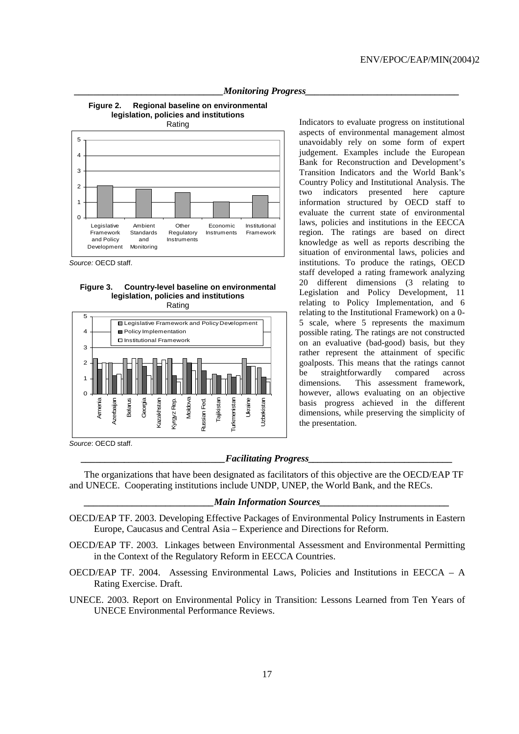

**Figure 2. Regional baseline on environmental legislation, policies and institutions** 



Source: OECD staff.





Indicators to evaluate progress on institutional aspects of environmental management almost unavoidably rely on some form of expert judgement. Examples include the European Bank for Reconstruction and Development's Transition Indicators and the World Bank's Country Policy and Institutional Analysis. The two indicators presented here capture information structured by OECD staff to evaluate the current state of environmental laws, policies and institutions in the EECCA region. The ratings are based on direct knowledge as well as reports describing the situation of environmental laws, policies and institutions. To produce the ratings, OECD staff developed a rating framework analyzing 20 different dimensions (3 relating to Legislation and Policy Development, 11 relating to Policy Implementation, and 6 relating to the Institutional Framework) on a 0- 5 scale, where 5 represents the maximum possible rating. The ratings are not constructed on an evaluative (bad-good) basis, but they rather represent the attainment of specific goalposts. This means that the ratings cannot be straightforwardly compared across dimensions. This assessment framework, however, allows evaluating on an objective basis progress achieved in the different dimensions, while preserving the simplicity of the presentation.

#### $Faciliating$  *Progress*

 The organizations that have been designated as facilitators of this objective are the OECD/EAP TF and UNECE. Cooperating institutions include UNDP, UNEP, the World Bank, and the RECs.

#### *Main Information Sources*

- OECD/EAP TF. 2003. Developing Effective Packages of Environmental Policy Instruments in Eastern Europe, Caucasus and Central Asia – Experience and Directions for Reform.
- OECD/EAP TF. 2003. Linkages between Environmental Assessment and Environmental Permitting in the Context of the Regulatory Reform in EECCA Countries.
- OECD/EAP TF. 2004. Assessing Environmental Laws, Policies and Institutions in EECCA A Rating Exercise. Draft.
- UNECE. 2003. Report on Environmental Policy in Transition: Lessons Learned from Ten Years of UNECE Environmental Performance Reviews.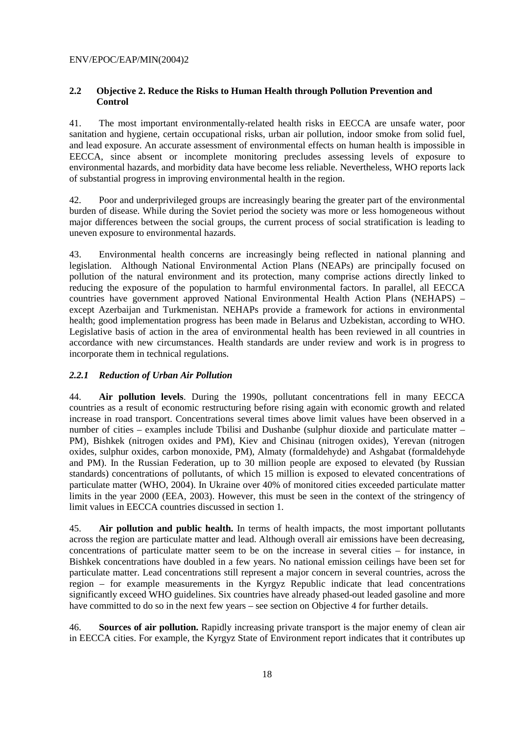### **2.2 Objective 2. Reduce the Risks to Human Health through Pollution Prevention and Control**

41. The most important environmentally-related health risks in EECCA are unsafe water, poor sanitation and hygiene, certain occupational risks, urban air pollution, indoor smoke from solid fuel, and lead exposure. An accurate assessment of environmental effects on human health is impossible in EECCA, since absent or incomplete monitoring precludes assessing levels of exposure to environmental hazards, and morbidity data have become less reliable. Nevertheless, WHO reports lack of substantial progress in improving environmental health in the region.

42. Poor and underprivileged groups are increasingly bearing the greater part of the environmental burden of disease. While during the Soviet period the society was more or less homogeneous without major differences between the social groups, the current process of social stratification is leading to uneven exposure to environmental hazards.

43. Environmental health concerns are increasingly being reflected in national planning and legislation. Although National Environmental Action Plans (NEAPs) are principally focused on pollution of the natural environment and its protection, many comprise actions directly linked to reducing the exposure of the population to harmful environmental factors. In parallel, all EECCA countries have government approved National Environmental Health Action Plans (NEHAPS) – except Azerbaijan and Turkmenistan. NEHAPs provide a framework for actions in environmental health; good implementation progress has been made in Belarus and Uzbekistan, according to WHO. Legislative basis of action in the area of environmental health has been reviewed in all countries in accordance with new circumstances. Health standards are under review and work is in progress to incorporate them in technical regulations.

### *2.2.1 Reduction of Urban Air Pollution*

44. **Air pollution levels**. During the 1990s, pollutant concentrations fell in many EECCA countries as a result of economic restructuring before rising again with economic growth and related increase in road transport. Concentrations several times above limit values have been observed in a number of cities – examples include Tbilisi and Dushanbe (sulphur dioxide and particulate matter – PM), Bishkek (nitrogen oxides and PM), Kiev and Chisinau (nitrogen oxides), Yerevan (nitrogen oxides, sulphur oxides, carbon monoxide, PM), Almaty (formaldehyde) and Ashgabat (formaldehyde and PM). In the Russian Federation, up to 30 million people are exposed to elevated (by Russian standards) concentrations of pollutants, of which 15 million is exposed to elevated concentrations of particulate matter (WHO, 2004). In Ukraine over 40% of monitored cities exceeded particulate matter limits in the year 2000 (EEA, 2003). However, this must be seen in the context of the stringency of limit values in EECCA countries discussed in section 1.

45. **Air pollution and public health.** In terms of health impacts, the most important pollutants across the region are particulate matter and lead. Although overall air emissions have been decreasing, concentrations of particulate matter seem to be on the increase in several cities – for instance, in Bishkek concentrations have doubled in a few years. No national emission ceilings have been set for particulate matter. Lead concentrations still represent a major concern in several countries, across the region – for example measurements in the Kyrgyz Republic indicate that lead concentrations significantly exceed WHO guidelines. Six countries have already phased-out leaded gasoline and more have committed to do so in the next few years – see section on Objective 4 for further details.

46. **Sources of air pollution.** Rapidly increasing private transport is the major enemy of clean air in EECCA cities. For example, the Kyrgyz State of Environment report indicates that it contributes up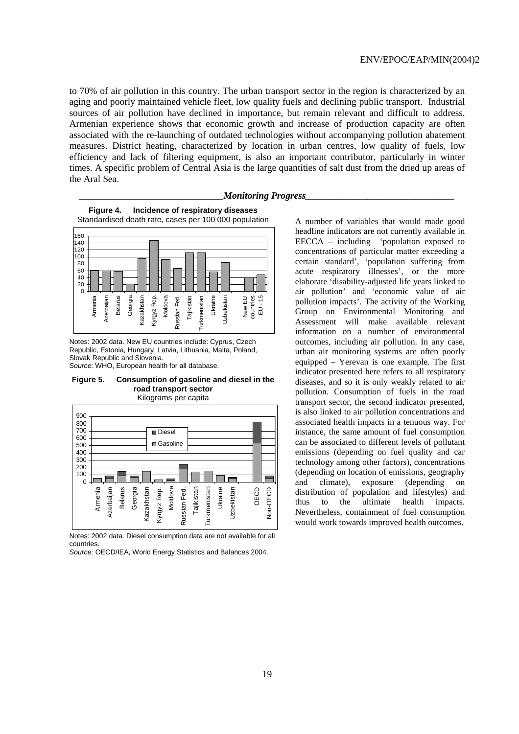to 70% of air pollution in this country. The urban transport sector in the region is characterized by an aging and poorly maintained vehicle fleet, low quality fuels and declining public transport. Industrial sources of air pollution have declined in importance, but remain relevant and difficult to address. Armenian experience shows that economic growth and increase of production capacity are often associated with the re-launching of outdated technologies without accompanying pollution abatement measures. District heating, characterized by location in urban centres, low quality of fuels, low efficiency and lack of filtering equipment, is also an important contributor, particularly in winter times. A specific problem of Central Asia is the large quantities of salt dust from the dried up areas of the Aral Sea.

#### *Monitoring Progress\_*





Notes: 2002 data. New EU countries include: Cyprus, Czech Republic, Estonia, Hungary, Latvia, Lithuania, Malta, Poland, Slovak Republic and Slovenia.

Source: WHO, European health for all database.





Notes: 2002 data. Diesel consumption data are not available for all countries.

Source: OECD/IEA, World Energy Statistics and Balances 2004.

A number of variables that would made good headline indicators are not currently available in EECCA – including 'population exposed to concentrations of particular matter exceeding a certain standard', 'population suffering from acute respiratory illnesses', or the more elaborate 'disability-adjusted life years linked to air pollution' and 'economic value of air pollution impacts'. The activity of the Working Group on Environmental Monitoring and Assessment will make available relevant information on a number of environmental outcomes, including air pollution. In any case, urban air monitoring systems are often poorly equipped – Yerevan is one example. The first indicator presented here refers to all respiratory diseases, and so it is only weakly related to air pollution. Consumption of fuels in the road transport sector, the second indicator presented, is also linked to air pollution concentrations and associated health impacts in a tenuous way. For instance, the same amount of fuel consumption can be associated to different levels of pollutant emissions (depending on fuel quality and car technology among other factors), concentrations (depending on location of emissions, geography and climate), exposure (depending on distribution of population and lifestyles) and thus to the ultimate health impacts. Nevertheless, containment of fuel consumption would work towards improved health outcomes.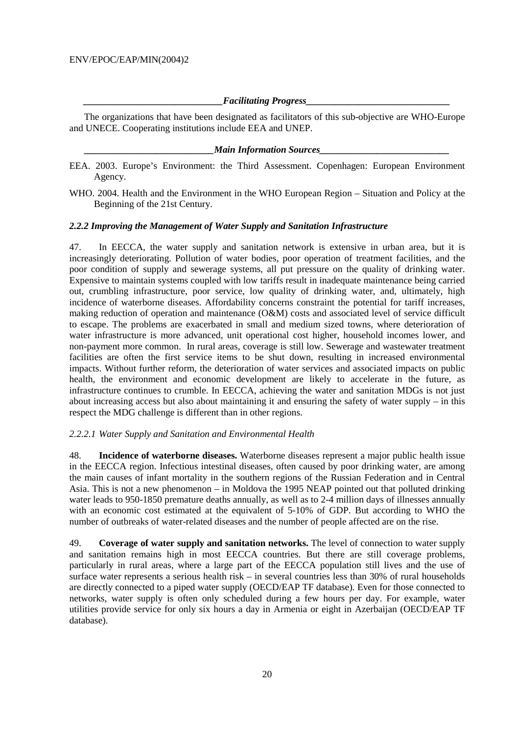### $Facilitating$  *Progress*

 The organizations that have been designated as facilitators of this sub-objective are WHO-Europe and UNECE. Cooperating institutions include EEA and UNEP.

#### *Main Information Sources*

- EEA. 2003. Europe's Environment: the Third Assessment. Copenhagen: European Environment Agency.
- WHO. 2004. Health and the Environment in the WHO European Region Situation and Policy at the Beginning of the 21st Century.

### *2.2.2 Improving the Management of Water Supply and Sanitation Infrastructure*

47. In EECCA, the water supply and sanitation network is extensive in urban area, but it is increasingly deteriorating. Pollution of water bodies, poor operation of treatment facilities, and the poor condition of supply and sewerage systems, all put pressure on the quality of drinking water. Expensive to maintain systems coupled with low tariffs result in inadequate maintenance being carried out, crumbling infrastructure, poor service, low quality of drinking water, and, ultimately, high incidence of waterborne diseases. Affordability concerns constraint the potential for tariff increases, making reduction of operation and maintenance (O&M) costs and associated level of service difficult to escape. The problems are exacerbated in small and medium sized towns, where deterioration of water infrastructure is more advanced, unit operational cost higher, household incomes lower, and non-payment more common. In rural areas, coverage is still low. Sewerage and wastewater treatment facilities are often the first service items to be shut down, resulting in increased environmental impacts. Without further reform, the deterioration of water services and associated impacts on public health, the environment and economic development are likely to accelerate in the future, as infrastructure continues to crumble. In EECCA, achieving the water and sanitation MDGs is not just about increasing access but also about maintaining it and ensuring the safety of water supply – in this respect the MDG challenge is different than in other regions.

#### *2.2.2.1 Water Supply and Sanitation and Environmental Health*

48. **Incidence of waterborne diseases.** Waterborne diseases represent a major public health issue in the EECCA region. Infectious intestinal diseases, often caused by poor drinking water, are among the main causes of infant mortality in the southern regions of the Russian Federation and in Central Asia. This is not a new phenomenon – in Moldova the 1995 NEAP pointed out that polluted drinking water leads to 950-1850 premature deaths annually, as well as to 2-4 million days of illnesses annually with an economic cost estimated at the equivalent of 5-10% of GDP. But according to WHO the number of outbreaks of water-related diseases and the number of people affected are on the rise.

49. **Coverage of water supply and sanitation networks.** The level of connection to water supply and sanitation remains high in most EECCA countries. But there are still coverage problems, particularly in rural areas, where a large part of the EECCA population still lives and the use of surface water represents a serious health risk – in several countries less than 30% of rural households are directly connected to a piped water supply (OECD/EAP TF database). Even for those connected to networks, water supply is often only scheduled during a few hours per day. For example, water utilities provide service for only six hours a day in Armenia or eight in Azerbaijan (OECD/EAP TF database).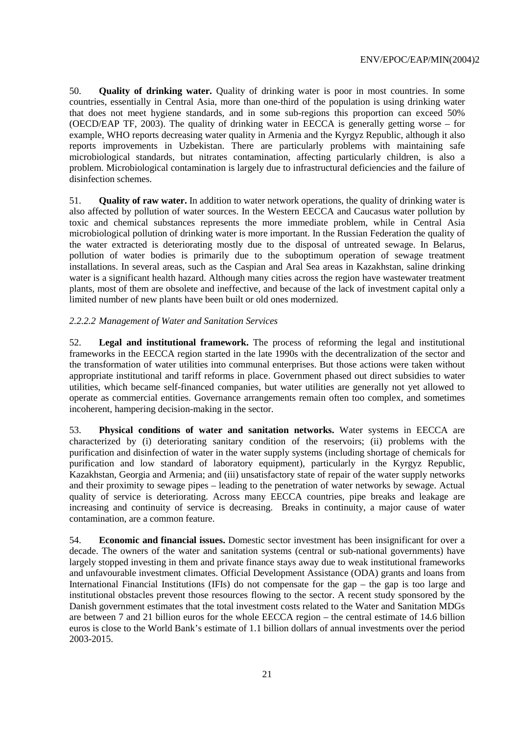50. **Quality of drinking water.** Quality of drinking water is poor in most countries. In some countries, essentially in Central Asia, more than one-third of the population is using drinking water that does not meet hygiene standards, and in some sub-regions this proportion can exceed 50% (OECD/EAP TF, 2003). The quality of drinking water in EECCA is generally getting worse – for example, WHO reports decreasing water quality in Armenia and the Kyrgyz Republic, although it also reports improvements in Uzbekistan. There are particularly problems with maintaining safe microbiological standards, but nitrates contamination, affecting particularly children, is also a problem. Microbiological contamination is largely due to infrastructural deficiencies and the failure of disinfection schemes.

51. **Quality of raw water.** In addition to water network operations, the quality of drinking water is also affected by pollution of water sources. In the Western EECCA and Caucasus water pollution by toxic and chemical substances represents the more immediate problem, while in Central Asia microbiological pollution of drinking water is more important. In the Russian Federation the quality of the water extracted is deteriorating mostly due to the disposal of untreated sewage. In Belarus, pollution of water bodies is primarily due to the suboptimum operation of sewage treatment installations. In several areas, such as the Caspian and Aral Sea areas in Kazakhstan, saline drinking water is a significant health hazard. Although many cities across the region have wastewater treatment plants, most of them are obsolete and ineffective, and because of the lack of investment capital only a limited number of new plants have been built or old ones modernized.

### *2.2.2.2 Management of Water and Sanitation Services*

52. **Legal and institutional framework.** The process of reforming the legal and institutional frameworks in the EECCA region started in the late 1990s with the decentralization of the sector and the transformation of water utilities into communal enterprises. But those actions were taken without appropriate institutional and tariff reforms in place. Government phased out direct subsidies to water utilities, which became self-financed companies, but water utilities are generally not yet allowed to operate as commercial entities. Governance arrangements remain often too complex, and sometimes incoherent, hampering decision-making in the sector.

53. **Physical conditions of water and sanitation networks.** Water systems in EECCA are characterized by (i) deteriorating sanitary condition of the reservoirs; (ii) problems with the purification and disinfection of water in the water supply systems (including shortage of chemicals for purification and low standard of laboratory equipment), particularly in the Kyrgyz Republic, Kazakhstan, Georgia and Armenia; and (iii) unsatisfactory state of repair of the water supply networks and their proximity to sewage pipes – leading to the penetration of water networks by sewage. Actual quality of service is deteriorating. Across many EECCA countries, pipe breaks and leakage are increasing and continuity of service is decreasing. Breaks in continuity, a major cause of water contamination, are a common feature.

54. **Economic and financial issues.** Domestic sector investment has been insignificant for over a decade. The owners of the water and sanitation systems (central or sub-national governments) have largely stopped investing in them and private finance stays away due to weak institutional frameworks and unfavourable investment climates. Official Development Assistance (ODA) grants and loans from International Financial Institutions (IFIs) do not compensate for the gap – the gap is too large and institutional obstacles prevent those resources flowing to the sector. A recent study sponsored by the Danish government estimates that the total investment costs related to the Water and Sanitation MDGs are between 7 and 21 billion euros for the whole EECCA region – the central estimate of 14.6 billion euros is close to the World Bank's estimate of 1.1 billion dollars of annual investments over the period 2003-2015.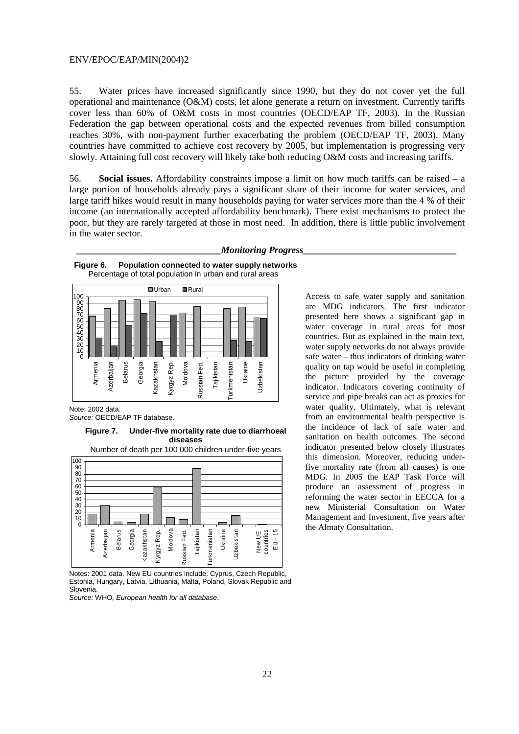55. Water prices have increased significantly since 1990, but they do not cover yet the full operational and maintenance (O&M) costs, let alone generate a return on investment. Currently tariffs cover less than 60% of O&M costs in most countries (OECD/EAP TF, 2003). In the Russian Federation the gap between operational costs and the expected revenues from billed consumption reaches 30%, with non-payment further exacerbating the problem (OECD/EAP TF, 2003). Many countries have committed to achieve cost recovery by 2005, but implementation is progressing very slowly. Attaining full cost recovery will likely take both reducing O&M costs and increasing tariffs.

56. **Social issues.** Affordability constraints impose a limit on how much tariffs can be raised – a large portion of households already pays a significant share of their income for water services, and large tariff hikes would result in many households paying for water services more than the 4 % of their income (an internationally accepted affordability benchmark). There exist mechanisms to protect the poor, but they are rarely targeted at those in most need. In addition, there is little public involvement in the water sector.

*Monitoring Progress* 

#### **Figure 6. Population connected to water supply networks**  Percentage of total population in urban and rural areas ■Urban **■**Rural 100 90<br>80<br>70<br>60<br>50<br>50<br>30<br>20<br>20 0 Belarus Kyrgyz Rep. Moldova Tajikistan Armenia Azerbaijan Georgia Kazakhstan Kazakhstan Kyrgyz Rep. Russian Fed. Russian Fed. urkmenistan Ukraine Jzbekistan Uzbekistan Turkmenistan

Note: 2002 data. Source: OECD/EAP TF database.

> **Figure 7. Under-five mortality rate due to diarrhoeal diseases**



Notes: 2001 data. New EU countries include: Cyprus, Czech Republic, Estonia, Hungary, Latvia, Lithuania, Malta, Poland, Slovak Republic and Slovenia.

Source: WHO, European health for all database.

Access to safe water supply and sanitation are MDG indicators. The first indicator presented here shows a significant gap in water coverage in rural areas for most countries. But as explained in the main text, water supply networks do not always provide safe water – thus indicators of drinking water quality on tap would be useful in completing the picture provided by the coverage indicator. Indicators covering continuity of service and pipe breaks can act as proxies for water quality. Ultimately, what is relevant from an environmental health perspective is the incidence of lack of safe water and sanitation on health outcomes. The second indicator presented below closely illustrates this dimension. Moreover, reducing underfive mortality rate (from all causes) is one MDG. In 2005 the EAP Task Force will produce an assessment of progress in reforming the water sector in EECCA for a new Ministerial Consultation on Water Management and Investment, five years after the Almaty Consultation.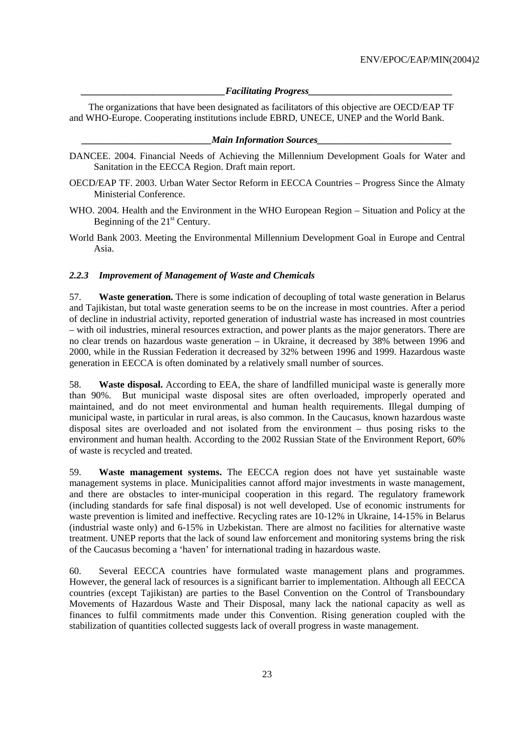### $Facilitating$  *Progress*

The organizations that have been designated as facilitators of this objective are OECD/EAP TF and WHO-Europe. Cooperating institutions include EBRD, UNECE, UNEP and the World Bank.

#### *\_\_\_\_\_\_\_\_\_\_\_\_\_\_\_\_\_\_\_\_\_\_\_\_\_\_\_Main Information Sources\_\_\_\_\_\_\_\_\_\_\_\_\_\_\_\_\_\_\_\_\_\_\_\_\_\_\_\_*

- DANCEE. 2004. Financial Needs of Achieving the Millennium Development Goals for Water and Sanitation in the EECCA Region. Draft main report.
- OECD/EAP TF. 2003. Urban Water Sector Reform in EECCA Countries Progress Since the Almaty Ministerial Conference.
- WHO. 2004. Health and the Environment in the WHO European Region Situation and Policy at the Beginning of the  $21<sup>st</sup>$  Century.
- World Bank 2003. Meeting the Environmental Millennium Development Goal in Europe and Central Asia.

# *2.2.3 Improvement of Management of Waste and Chemicals*

57. **Waste generation.** There is some indication of decoupling of total waste generation in Belarus and Tajikistan, but total waste generation seems to be on the increase in most countries. After a period of decline in industrial activity, reported generation of industrial waste has increased in most countries – with oil industries, mineral resources extraction, and power plants as the major generators. There are no clear trends on hazardous waste generation – in Ukraine, it decreased by 38% between 1996 and 2000, while in the Russian Federation it decreased by 32% between 1996 and 1999. Hazardous waste generation in EECCA is often dominated by a relatively small number of sources.

58. **Waste disposal.** According to EEA, the share of landfilled municipal waste is generally more than 90%. But municipal waste disposal sites are often overloaded, improperly operated and maintained, and do not meet environmental and human health requirements. Illegal dumping of municipal waste, in particular in rural areas, is also common. In the Caucasus, known hazardous waste disposal sites are overloaded and not isolated from the environment – thus posing risks to the environment and human health. According to the 2002 Russian State of the Environment Report, 60% of waste is recycled and treated.

59. **Waste management systems.** The EECCA region does not have yet sustainable waste management systems in place. Municipalities cannot afford major investments in waste management, and there are obstacles to inter-municipal cooperation in this regard. The regulatory framework (including standards for safe final disposal) is not well developed. Use of economic instruments for waste prevention is limited and ineffective. Recycling rates are 10-12% in Ukraine, 14-15% in Belarus (industrial waste only) and 6-15% in Uzbekistan. There are almost no facilities for alternative waste treatment. UNEP reports that the lack of sound law enforcement and monitoring systems bring the risk of the Caucasus becoming a 'haven' for international trading in hazardous waste.

60. Several EECCA countries have formulated waste management plans and programmes. However, the general lack of resources is a significant barrier to implementation. Although all EECCA countries (except Tajikistan) are parties to the Basel Convention on the Control of Transboundary Movements of Hazardous Waste and Their Disposal, many lack the national capacity as well as finances to fulfil commitments made under this Convention. Rising generation coupled with the stabilization of quantities collected suggests lack of overall progress in waste management.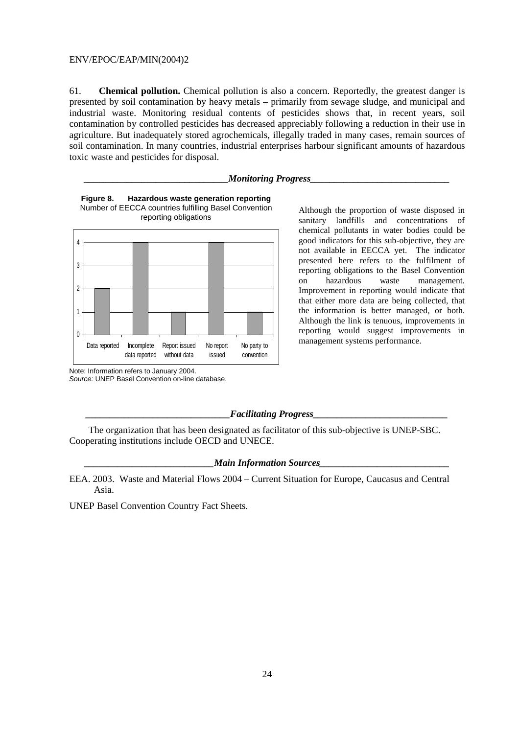61. **Chemical pollution.** Chemical pollution is also a concern. Reportedly, the greatest danger is presented by soil contamination by heavy metals – primarily from sewage sludge, and municipal and industrial waste. Monitoring residual contents of pesticides shows that, in recent years, soil contamination by controlled pesticides has decreased appreciably following a reduction in their use in agriculture. But inadequately stored agrochemicals, illegally traded in many cases, remain sources of soil contamination. In many countries, industrial enterprises harbour significant amounts of hazardous toxic waste and pesticides for disposal.

#### *Monitoring Progress*





Although the proportion of waste disposed in sanitary landfills and concentrations of chemical pollutants in water bodies could be good indicators for this sub-objective, they are not available in EECCA yet. The indicator presented here refers to the fulfilment of reporting obligations to the Basel Convention on hazardous waste management. Improvement in reporting would indicate that that either more data are being collected, that the information is better managed, or both. Although the link is tenuous, improvements in reporting would suggest improvements in management systems performance.

Note: Information refers to January 2004. Source: UNEP Basel Convention on-line database.

#### $Facilitating$  *Progress*

The organization that has been designated as facilitator of this sub-objective is UNEP-SBC. Cooperating institutions include OECD and UNECE.

#### *Main Information Sources*

EEA. 2003. Waste and Material Flows 2004 – Current Situation for Europe, Caucasus and Central Asia.

UNEP Basel Convention Country Fact Sheets.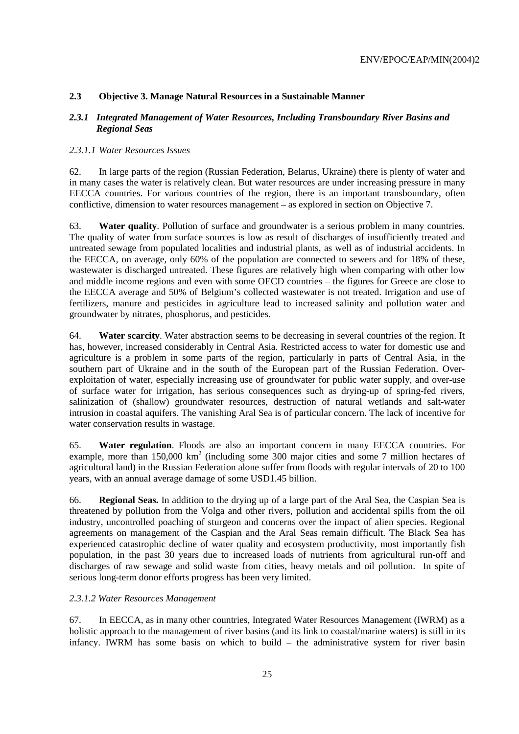# **2.3 Objective 3. Manage Natural Resources in a Sustainable Manner**

### *2.3.1 Integrated Management of Water Resources, Including Transboundary River Basins and Regional Seas*

# *2.3.1.1 Water Resources Issues*

62. In large parts of the region (Russian Federation, Belarus, Ukraine) there is plenty of water and in many cases the water is relatively clean. But water resources are under increasing pressure in many EECCA countries. For various countries of the region, there is an important transboundary, often conflictive, dimension to water resources management – as explored in section on Objective 7.

63. **Water quality**. Pollution of surface and groundwater is a serious problem in many countries. The quality of water from surface sources is low as result of discharges of insufficiently treated and untreated sewage from populated localities and industrial plants, as well as of industrial accidents. In the EECCA, on average, only 60% of the population are connected to sewers and for 18% of these, wastewater is discharged untreated. These figures are relatively high when comparing with other low and middle income regions and even with some OECD countries – the figures for Greece are close to the EECCA average and 50% of Belgium's collected wastewater is not treated. Irrigation and use of fertilizers, manure and pesticides in agriculture lead to increased salinity and pollution water and groundwater by nitrates, phosphorus, and pesticides.

64. **Water scarcity**. Water abstraction seems to be decreasing in several countries of the region. It has, however, increased considerably in Central Asia. Restricted access to water for domestic use and agriculture is a problem in some parts of the region, particularly in parts of Central Asia, in the southern part of Ukraine and in the south of the European part of the Russian Federation. Overexploitation of water, especially increasing use of groundwater for public water supply, and over-use of surface water for irrigation, has serious consequences such as drying-up of spring-fed rivers, salinization of (shallow) groundwater resources, destruction of natural wetlands and salt-water intrusion in coastal aquifers. The vanishing Aral Sea is of particular concern. The lack of incentive for water conservation results in wastage.

65. **Water regulation**. Floods are also an important concern in many EECCA countries. For example, more than  $150,000 \text{ km}^2$  (including some 300 major cities and some 7 million hectares of agricultural land) in the Russian Federation alone suffer from floods with regular intervals of 20 to 100 years, with an annual average damage of some USD1.45 billion.

66. **Regional Seas.** In addition to the drying up of a large part of the Aral Sea, the Caspian Sea is threatened by pollution from the Volga and other rivers, pollution and accidental spills from the oil industry, uncontrolled poaching of sturgeon and concerns over the impact of alien species. Regional agreements on management of the Caspian and the Aral Seas remain difficult. The Black Sea has experienced catastrophic decline of water quality and ecosystem productivity, most importantly fish population, in the past 30 years due to increased loads of nutrients from agricultural run-off and discharges of raw sewage and solid waste from cities, heavy metals and oil pollution. In spite of serious long-term donor efforts progress has been very limited.

# *2.3.1.2 Water Resources Management*

67. In EECCA, as in many other countries, Integrated Water Resources Management (IWRM) as a holistic approach to the management of river basins (and its link to coastal/marine waters) is still in its infancy. IWRM has some basis on which to build – the administrative system for river basin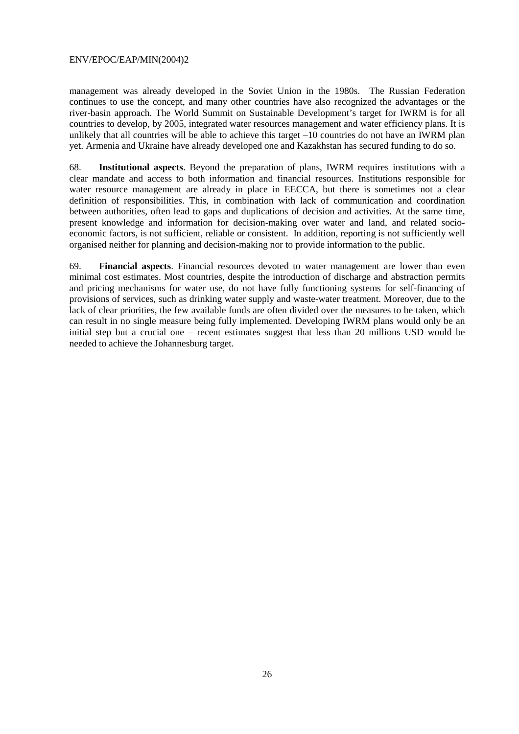management was already developed in the Soviet Union in the 1980s. The Russian Federation continues to use the concept, and many other countries have also recognized the advantages or the river-basin approach. The World Summit on Sustainable Development's target for IWRM is for all countries to develop, by 2005, integrated water resources management and water efficiency plans. It is unlikely that all countries will be able to achieve this target  $-10$  countries do not have an IWRM plan yet. Armenia and Ukraine have already developed one and Kazakhstan has secured funding to do so.

68. **Institutional aspects**. Beyond the preparation of plans, IWRM requires institutions with a clear mandate and access to both information and financial resources. Institutions responsible for water resource management are already in place in EECCA, but there is sometimes not a clear definition of responsibilities. This, in combination with lack of communication and coordination between authorities, often lead to gaps and duplications of decision and activities. At the same time, present knowledge and information for decision-making over water and land, and related socioeconomic factors, is not sufficient, reliable or consistent. In addition, reporting is not sufficiently well organised neither for planning and decision-making nor to provide information to the public.

69. **Financial aspects**. Financial resources devoted to water management are lower than even minimal cost estimates. Most countries, despite the introduction of discharge and abstraction permits and pricing mechanisms for water use, do not have fully functioning systems for self-financing of provisions of services, such as drinking water supply and waste-water treatment. Moreover, due to the lack of clear priorities, the few available funds are often divided over the measures to be taken, which can result in no single measure being fully implemented. Developing IWRM plans would only be an initial step but a crucial one – recent estimates suggest that less than 20 millions USD would be needed to achieve the Johannesburg target.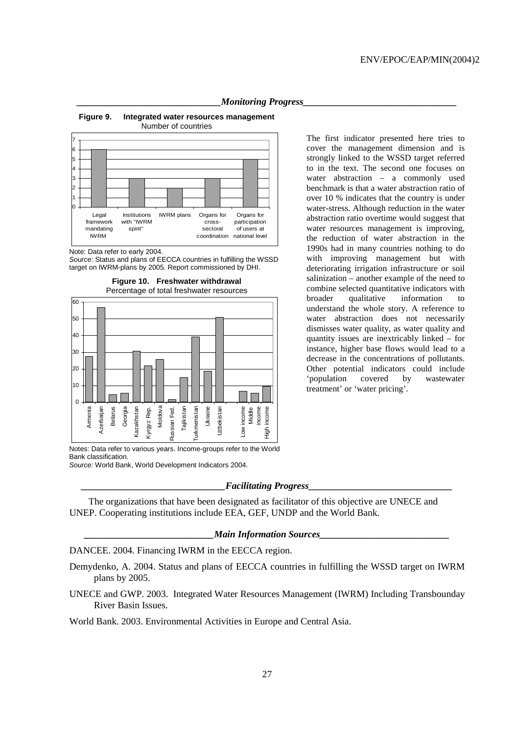

**Figure 9. Integrated water resources management** 

Number of countries



Note: Data refer to early 2004.

Source: Status and plans of EECCA countries in fulfilling the WSSD target on IWRM-plans by 2005. Report commissioned by DHI.

**Figure 10. Freshwater withdrawal** 



cover the management dimension and is strongly linked to the WSSD target referred to in the text. The second one focuses on water abstraction – a commonly used benchmark is that a water abstraction ratio of over 10 % indicates that the country is under water-stress. Although reduction in the water abstraction ratio overtime would suggest that water resources management is improving, the reduction of water abstraction in the 1990s had in many countries nothing to do with improving management but with deteriorating irrigation infrastructure or soil salinization – another example of the need to combine selected quantitative indicators with broader qualitative information to understand the whole story. A reference to water abstraction does not necessarily dismisses water quality, as water quality and quantity issues are inextricably linked – for instance, higher base flows would lead to a decrease in the concentrations of pollutants. Other potential indicators could include 'population covered by wastewater treatment' or 'water pricing'.

The first indicator presented here tries to

Notes: Data refer to various years. Income-groups refer to the World Bank classification.

Source: World Bank, World Development Indicators 2004.

#### *\_\_\_\_\_\_\_\_\_\_\_\_\_\_\_\_\_\_\_\_\_\_\_\_\_\_\_\_\_\_Facilitating Progress\_\_\_\_\_\_\_\_\_\_\_\_\_\_\_\_\_\_\_\_\_\_\_\_\_\_\_\_\_\_*

The organizations that have been designated as facilitator of this objective are UNECE and UNEP. Cooperating institutions include EEA, GEF, UNDP and the World Bank.

#### *\_\_\_\_\_\_\_\_\_\_\_\_\_\_\_\_\_\_\_\_\_\_\_\_\_\_\_Main Information Sources\_\_\_\_\_\_\_\_\_\_\_\_\_\_\_\_\_\_\_\_\_\_\_\_\_\_\_*

DANCEE. 2004. Financing IWRM in the EECCA region.

- Demydenko, A. 2004. Status and plans of EECCA countries in fulfilling the WSSD target on IWRM plans by 2005.
- UNECE and GWP. 2003. Integrated Water Resources Management (IWRM) Including Transbounday River Basin Issues.

World Bank. 2003. Environmental Activities in Europe and Central Asia.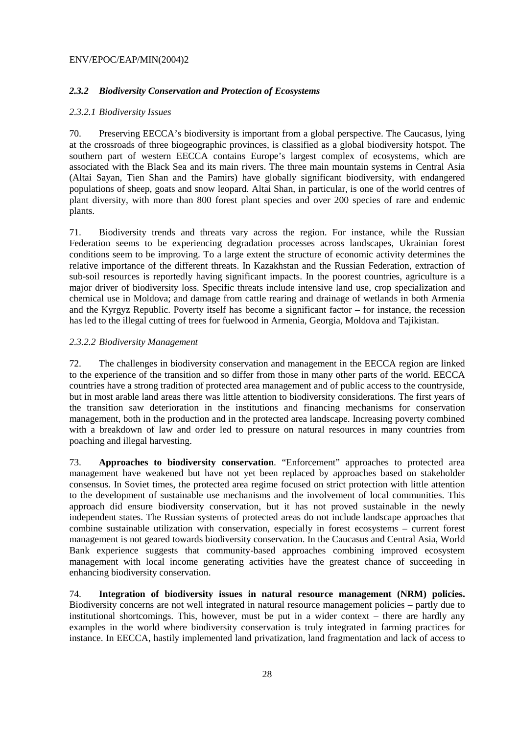### *2.3.2 Biodiversity Conservation and Protection of Ecosystems*

### *2.3.2.1 Biodiversity Issues*

70. Preserving EECCA's biodiversity is important from a global perspective. The Caucasus, lying at the crossroads of three biogeographic provinces, is classified as a global biodiversity hotspot. The southern part of western EECCA contains Europe's largest complex of ecosystems, which are associated with the Black Sea and its main rivers. The three main mountain systems in Central Asia (Altai Sayan, Tien Shan and the Pamirs) have globally significant biodiversity, with endangered populations of sheep, goats and snow leopard. Altai Shan, in particular, is one of the world centres of plant diversity, with more than 800 forest plant species and over 200 species of rare and endemic plants.

71. Biodiversity trends and threats vary across the region. For instance, while the Russian Federation seems to be experiencing degradation processes across landscapes, Ukrainian forest conditions seem to be improving. To a large extent the structure of economic activity determines the relative importance of the different threats. In Kazakhstan and the Russian Federation, extraction of sub-soil resources is reportedly having significant impacts. In the poorest countries, agriculture is a major driver of biodiversity loss. Specific threats include intensive land use, crop specialization and chemical use in Moldova; and damage from cattle rearing and drainage of wetlands in both Armenia and the Kyrgyz Republic. Poverty itself has become a significant factor – for instance, the recession has led to the illegal cutting of trees for fuelwood in Armenia, Georgia, Moldova and Tajikistan.

### *2.3.2.2 Biodiversity Management*

72. The challenges in biodiversity conservation and management in the EECCA region are linked to the experience of the transition and so differ from those in many other parts of the world. EECCA countries have a strong tradition of protected area management and of public access to the countryside, but in most arable land areas there was little attention to biodiversity considerations. The first years of the transition saw deterioration in the institutions and financing mechanisms for conservation management, both in the production and in the protected area landscape. Increasing poverty combined with a breakdown of law and order led to pressure on natural resources in many countries from poaching and illegal harvesting.

73. **Approaches to biodiversity conservation**. "Enforcement" approaches to protected area management have weakened but have not yet been replaced by approaches based on stakeholder consensus. In Soviet times, the protected area regime focused on strict protection with little attention to the development of sustainable use mechanisms and the involvement of local communities. This approach did ensure biodiversity conservation, but it has not proved sustainable in the newly independent states. The Russian systems of protected areas do not include landscape approaches that combine sustainable utilization with conservation, especially in forest ecosystems – current forest management is not geared towards biodiversity conservation. In the Caucasus and Central Asia, World Bank experience suggests that community-based approaches combining improved ecosystem management with local income generating activities have the greatest chance of succeeding in enhancing biodiversity conservation.

74. **Integration of biodiversity issues in natural resource management (NRM) policies.** Biodiversity concerns are not well integrated in natural resource management policies – partly due to institutional shortcomings. This, however, must be put in a wider context – there are hardly any examples in the world where biodiversity conservation is truly integrated in farming practices for instance. In EECCA, hastily implemented land privatization, land fragmentation and lack of access to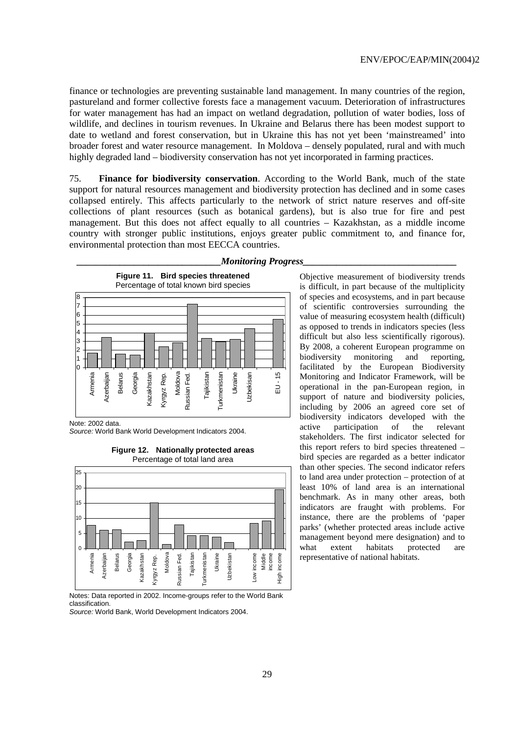finance or technologies are preventing sustainable land management. In many countries of the region, pastureland and former collective forests face a management vacuum. Deterioration of infrastructures for water management has had an impact on wetland degradation, pollution of water bodies, loss of wildlife, and declines in tourism revenues. In Ukraine and Belarus there has been modest support to date to wetland and forest conservation, but in Ukraine this has not yet been 'mainstreamed' into broader forest and water resource management. In Moldova – densely populated, rural and with much highly degraded land – biodiversity conservation has not yet incorporated in farming practices.

75. **Finance for biodiversity conservation**. According to the World Bank, much of the state support for natural resources management and biodiversity protection has declined and in some cases collapsed entirely. This affects particularly to the network of strict nature reserves and off-site collections of plant resources (such as botanical gardens), but is also true for fire and pest management. But this does not affect equally to all countries – Kazakhstan, as a middle income country with stronger public institutions, enjoys greater public commitment to, and finance for, environmental protection than most EECCA countries.



Note: 2002 data.

Source: World Bank World Development Indicators 2004.



#### **Figure 12. Nationally protected areas**  Percentage of total land area

Notes: Data reported in 2002. Income-groups refer to the World Bank classification.

Source: World Bank, World Development Indicators 2004.

#### *Monitoring Progress*

Objective measurement of biodiversity trends is difficult, in part because of the multiplicity of species and ecosystems, and in part because of scientific controversies surrounding the value of measuring ecosystem health (difficult) as opposed to trends in indicators species (less difficult but also less scientifically rigorous). By 2008, a coherent European programme on biodiversity monitoring and reporting, facilitated by the European Biodiversity Monitoring and Indicator Framework, will be operational in the pan-European region, in support of nature and biodiversity policies, including by 2006 an agreed core set of biodiversity indicators developed with the active participation of the relevant stakeholders. The first indicator selected for this report refers to bird species threatened – bird species are regarded as a better indicator than other species. The second indicator refers to land area under protection – protection of at least 10% of land area is an international benchmark. As in many other areas, both indicators are fraught with problems. For instance, there are the problems of 'paper parks' (whether protected areas include active management beyond mere designation) and to what extent habitats protected are representative of national habitats.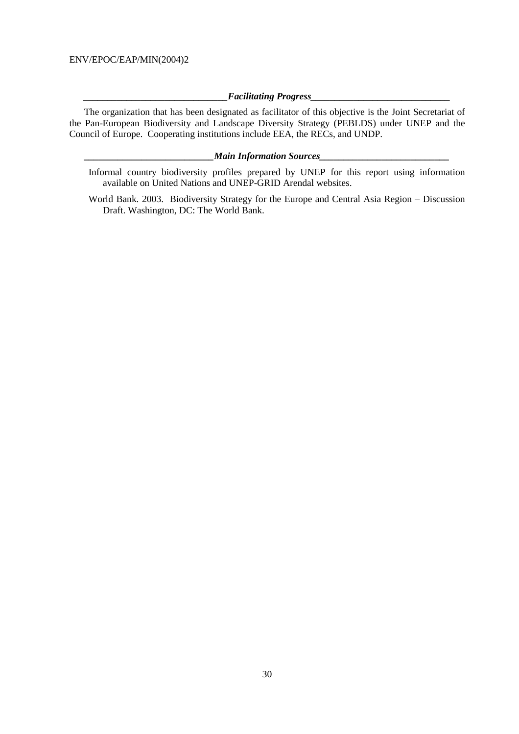### *\_\_\_\_\_\_\_\_\_\_\_\_\_\_\_\_\_\_\_\_\_\_\_\_\_\_\_\_\_\_Facilitating Progress\_\_\_\_\_\_\_\_\_\_\_\_\_\_\_\_\_\_\_\_\_\_\_\_\_\_\_\_\_*

 The organization that has been designated as facilitator of this objective is the Joint Secretariat of the Pan-European Biodiversity and Landscape Diversity Strategy (PEBLDS) under UNEP and the Council of Europe. Cooperating institutions include EEA, the RECs, and UNDP.

### *\_\_\_\_\_\_\_\_\_\_\_\_\_\_\_\_\_\_\_\_\_\_\_\_\_\_\_Main Information Sources\_\_\_\_\_\_\_\_\_\_\_\_\_\_\_\_\_\_\_\_\_\_\_\_\_\_\_*

- Informal country biodiversity profiles prepared by UNEP for this report using information available on United Nations and UNEP-GRID Arendal websites.
- World Bank. 2003. Biodiversity Strategy for the Europe and Central Asia Region Discussion Draft. Washington, DC: The World Bank.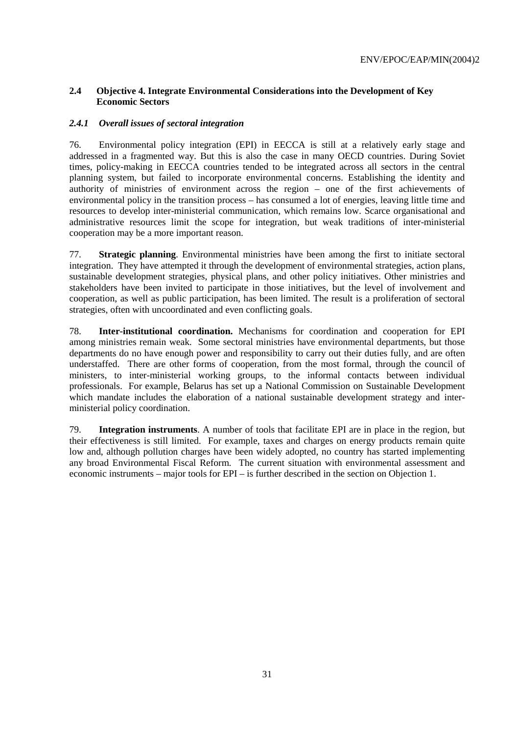# **2.4 Objective 4. Integrate Environmental Considerations into the Development of Key Economic Sectors**

# *2.4.1 Overall issues of sectoral integration*

76. Environmental policy integration (EPI) in EECCA is still at a relatively early stage and addressed in a fragmented way. But this is also the case in many OECD countries. During Soviet times, policy-making in EECCA countries tended to be integrated across all sectors in the central planning system, but failed to incorporate environmental concerns. Establishing the identity and authority of ministries of environment across the region – one of the first achievements of environmental policy in the transition process – has consumed a lot of energies, leaving little time and resources to develop inter-ministerial communication, which remains low. Scarce organisational and administrative resources limit the scope for integration, but weak traditions of inter-ministerial cooperation may be a more important reason.

77. **Strategic planning**. Environmental ministries have been among the first to initiate sectoral integration. They have attempted it through the development of environmental strategies, action plans, sustainable development strategies, physical plans, and other policy initiatives. Other ministries and stakeholders have been invited to participate in those initiatives, but the level of involvement and cooperation, as well as public participation, has been limited. The result is a proliferation of sectoral strategies, often with uncoordinated and even conflicting goals.

78. **Inter-institutional coordination.** Mechanisms for coordination and cooperation for EPI among ministries remain weak. Some sectoral ministries have environmental departments, but those departments do no have enough power and responsibility to carry out their duties fully, and are often understaffed. There are other forms of cooperation, from the most formal, through the council of ministers, to inter-ministerial working groups, to the informal contacts between individual professionals. For example, Belarus has set up a National Commission on Sustainable Development which mandate includes the elaboration of a national sustainable development strategy and interministerial policy coordination.

79. **Integration instruments**. A number of tools that facilitate EPI are in place in the region, but their effectiveness is still limited. For example, taxes and charges on energy products remain quite low and, although pollution charges have been widely adopted, no country has started implementing any broad Environmental Fiscal Reform. The current situation with environmental assessment and economic instruments – major tools for EPI – is further described in the section on Objection 1.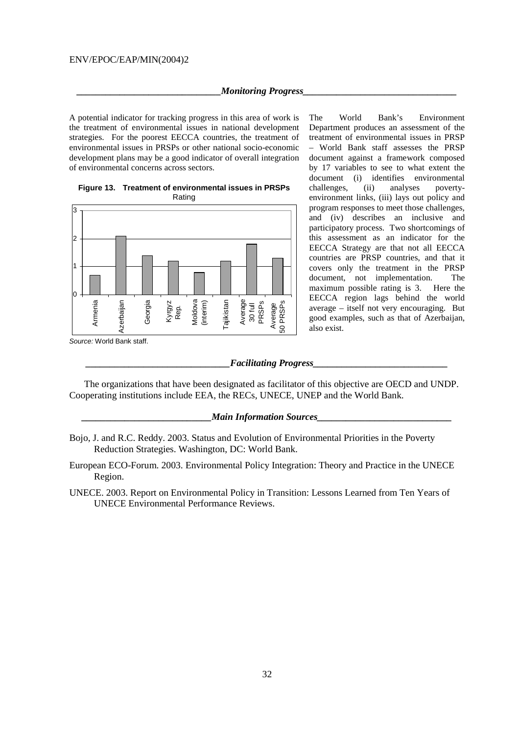#### *Monitoring Progress*

A potential indicator for tracking progress in this area of work is the treatment of environmental issues in national development strategies. For the poorest EECCA countries, the treatment of environmental issues in PRSPs or other national socio-economic development plans may be a good indicator of overall integration of environmental concerns across sectors.





The World Bank's Environment Department produces an assessment of the treatment of environmental issues in PRSP – World Bank staff assesses the PRSP document against a framework composed by 17 variables to see to what extent the document (i) identifies environmental challenges, (ii) analyses povertyenvironment links, (iii) lays out policy and program responses to meet those challenges, and (iv) describes an inclusive and participatory process. Two shortcomings of this assessment as an indicator for the EECCA Strategy are that not all EECCA countries are PRSP countries, and that it covers only the treatment in the PRSP document, not implementation. The maximum possible rating is 3. Here the EECCA region lags behind the world average – itself not very encouraging. But good examples, such as that of Azerbaijan, also exist.

Source: World Bank staff.

#### $\emph{Facilitating Progress}\label{ex-qie:2}$

 The organizations that have been designated as facilitator of this objective are OECD and UNDP. Cooperating institutions include EEA, the RECs, UNECE, UNEP and the World Bank.

#### *Main Information Sources*

European ECO-Forum. 2003. Environmental Policy Integration: Theory and Practice in the UNECE Region.

UNECE. 2003. Report on Environmental Policy in Transition: Lessons Learned from Ten Years of UNECE Environmental Performance Reviews.

Bojo, J. and R.C. Reddy. 2003. Status and Evolution of Environmental Priorities in the Poverty Reduction Strategies. Washington, DC: World Bank.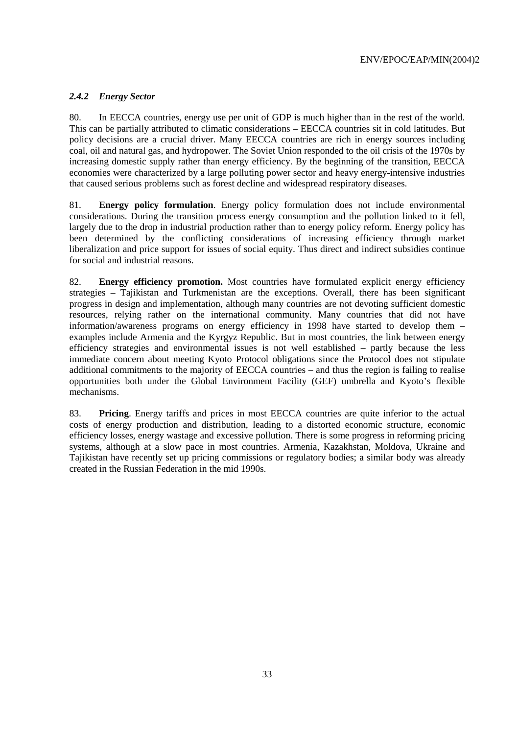# *2.4.2 Energy Sector*

80. In EECCA countries, energy use per unit of GDP is much higher than in the rest of the world. This can be partially attributed to climatic considerations – EECCA countries sit in cold latitudes. But policy decisions are a crucial driver. Many EECCA countries are rich in energy sources including coal, oil and natural gas, and hydropower. The Soviet Union responded to the oil crisis of the 1970s by increasing domestic supply rather than energy efficiency. By the beginning of the transition, EECCA economies were characterized by a large polluting power sector and heavy energy-intensive industries that caused serious problems such as forest decline and widespread respiratory diseases.

81. **Energy policy formulation**. Energy policy formulation does not include environmental considerations. During the transition process energy consumption and the pollution linked to it fell, largely due to the drop in industrial production rather than to energy policy reform. Energy policy has been determined by the conflicting considerations of increasing efficiency through market liberalization and price support for issues of social equity. Thus direct and indirect subsidies continue for social and industrial reasons.

82. **Energy efficiency promotion.** Most countries have formulated explicit energy efficiency strategies – Tajikistan and Turkmenistan are the exceptions. Overall, there has been significant progress in design and implementation, although many countries are not devoting sufficient domestic resources, relying rather on the international community. Many countries that did not have information/awareness programs on energy efficiency in 1998 have started to develop them – examples include Armenia and the Kyrgyz Republic. But in most countries, the link between energy efficiency strategies and environmental issues is not well established – partly because the less immediate concern about meeting Kyoto Protocol obligations since the Protocol does not stipulate additional commitments to the majority of EECCA countries – and thus the region is failing to realise opportunities both under the Global Environment Facility (GEF) umbrella and Kyoto's flexible mechanisms.

83. **Pricing**. Energy tariffs and prices in most EECCA countries are quite inferior to the actual costs of energy production and distribution, leading to a distorted economic structure, economic efficiency losses, energy wastage and excessive pollution. There is some progress in reforming pricing systems, although at a slow pace in most countries. Armenia, Kazakhstan, Moldova, Ukraine and Tajikistan have recently set up pricing commissions or regulatory bodies; a similar body was already created in the Russian Federation in the mid 1990s.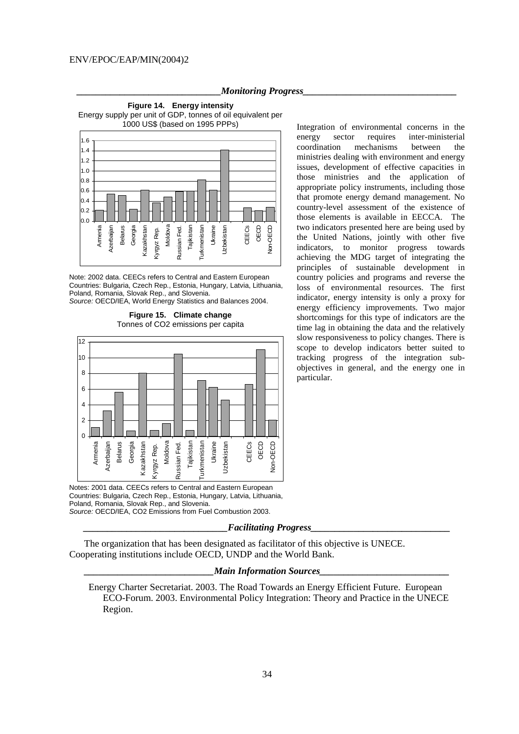#### *Monitoring Progress*





Note: 2002 data. CEECs refers to Central and Eastern European Countries: Bulgaria, Czech Rep., Estonia, Hungary, Latvia, Lithuania, Poland, Romania, Slovak Rep., and Slovenia. Source: OECD/IEA, World Energy Statistics and Balances 2004.





Notes: 2001 data. CEECs refers to Central and Eastern European Countries: Bulgaria, Czech Rep., Estonia, Hungary, Latvia, Lithuania, Poland, Romania, Slovak Rep., and Slovenia. Source: OECD/IEA, CO2 Emissions from Fuel Combustion 2003.

#### *\_\_\_\_\_\_\_\_\_\_\_\_\_\_\_\_\_\_\_\_\_\_\_\_\_\_\_\_\_\_Facilitating Progress\_\_\_\_\_\_\_\_\_\_\_\_\_\_\_\_\_\_\_\_\_\_\_\_\_\_\_\_\_*

 The organization that has been designated as facilitator of this objective is UNECE. Cooperating institutions include OECD, UNDP and the World Bank.

#### *Main Information Sources*

Energy Charter Secretariat. 2003. The Road Towards an Energy Efficient Future. European ECO-Forum. 2003. Environmental Policy Integration: Theory and Practice in the UNECE Region.

Integration of environmental concerns in the energy sector requires inter-ministerial coordination mechanisms between the ministries dealing with environment and energy issues, development of effective capacities in those ministries and the application of appropriate policy instruments, including those that promote energy demand management. No country-level assessment of the existence of those elements is available in EECCA. The two indicators presented here are being used by the United Nations, jointly with other five indicators, to monitor progress towards achieving the MDG target of integrating the principles of sustainable development in country policies and programs and reverse the loss of environmental resources. The first indicator, energy intensity is only a proxy for energy efficiency improvements. Two major shortcomings for this type of indicators are the time lag in obtaining the data and the relatively slow responsiveness to policy changes. There is scope to develop indicators better suited to tracking progress of the integration subobjectives in general, and the energy one in particular.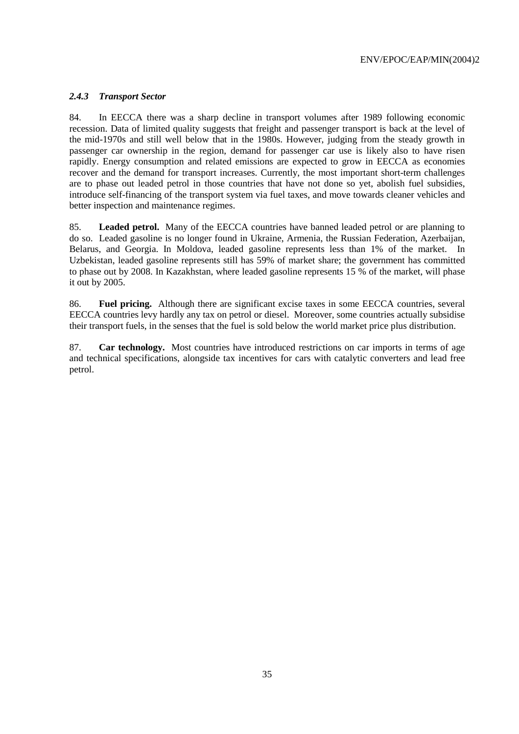# *2.4.3 Transport Sector*

84. In EECCA there was a sharp decline in transport volumes after 1989 following economic recession. Data of limited quality suggests that freight and passenger transport is back at the level of the mid-1970s and still well below that in the 1980s. However, judging from the steady growth in passenger car ownership in the region, demand for passenger car use is likely also to have risen rapidly. Energy consumption and related emissions are expected to grow in EECCA as economies recover and the demand for transport increases. Currently, the most important short-term challenges are to phase out leaded petrol in those countries that have not done so yet, abolish fuel subsidies, introduce self-financing of the transport system via fuel taxes, and move towards cleaner vehicles and better inspection and maintenance regimes.

85. **Leaded petrol.** Many of the EECCA countries have banned leaded petrol or are planning to do so. Leaded gasoline is no longer found in Ukraine, Armenia, the Russian Federation, Azerbaijan, Belarus, and Georgia. In Moldova, leaded gasoline represents less than 1% of the market. In Uzbekistan, leaded gasoline represents still has 59% of market share; the government has committed to phase out by 2008. In Kazakhstan, where leaded gasoline represents 15 % of the market, will phase it out by 2005.

86. **Fuel pricing.** Although there are significant excise taxes in some EECCA countries, several EECCA countries levy hardly any tax on petrol or diesel. Moreover, some countries actually subsidise their transport fuels, in the senses that the fuel is sold below the world market price plus distribution.

87. **Car technology.** Most countries have introduced restrictions on car imports in terms of age and technical specifications, alongside tax incentives for cars with catalytic converters and lead free petrol.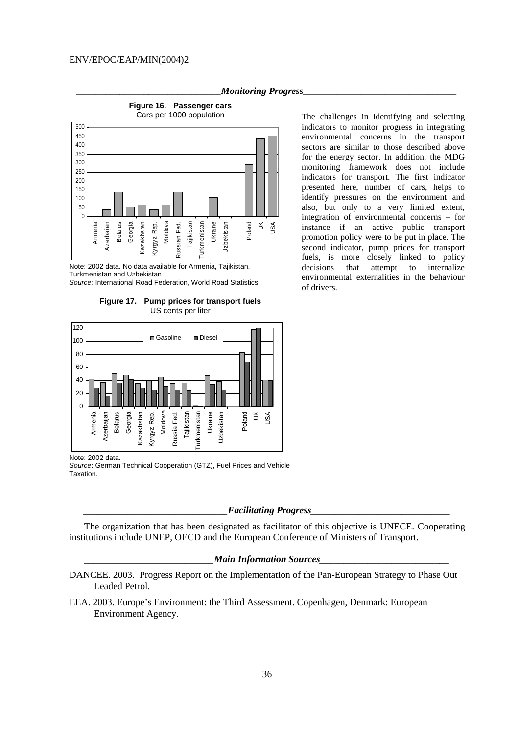#### *Monitoring Progress*



**Figure 16. Passenger cars** 

Note: 2002 data. No data available for Armenia, Tajikistan, Turkmenistan and Uzbekistan

Source: International Road Federation, World Road Statistics.

**Figure 17. Pump prices for transport fuels**  US cents per liter



Note: 2002 data.

Source: German Technical Cooperation (GTZ), Fuel Prices and Vehicle Taxation.

#### $Facilitating$  *Progress*

 The organization that has been designated as facilitator of this objective is UNECE. Cooperating institutions include UNEP, OECD and the European Conference of Ministers of Transport.

### *Main Information Sources*

- DANCEE. 2003. Progress Report on the Implementation of the Pan-European Strategy to Phase Out Leaded Petrol.
- EEA. 2003. Europe's Environment: the Third Assessment. Copenhagen, Denmark: European Environment Agency.

The challenges in identifying and selecting indicators to monitor progress in integrating environmental concerns in the transport sectors are similar to those described above for the energy sector. In addition, the MDG monitoring framework does not include indicators for transport. The first indicator presented here, number of cars, helps to identify pressures on the environment and also, but only to a very limited extent, integration of environmental concerns – for instance if an active public transport promotion policy were to be put in place. The second indicator, pump prices for transport fuels, is more closely linked to policy decisions that attempt to internalize environmental externalities in the behaviour of drivers.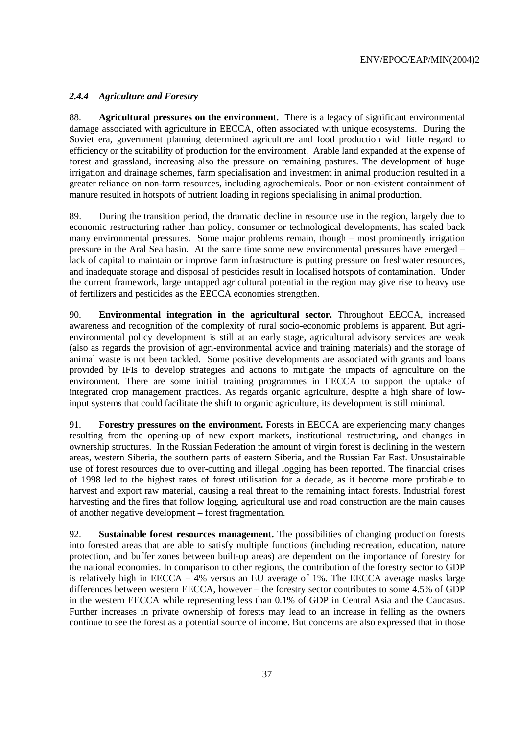# *2.4.4 Agriculture and Forestry*

88. **Agricultural pressures on the environment.** There is a legacy of significant environmental damage associated with agriculture in EECCA, often associated with unique ecosystems. During the Soviet era, government planning determined agriculture and food production with little regard to efficiency or the suitability of production for the environment. Arable land expanded at the expense of forest and grassland, increasing also the pressure on remaining pastures. The development of huge irrigation and drainage schemes, farm specialisation and investment in animal production resulted in a greater reliance on non-farm resources, including agrochemicals. Poor or non-existent containment of manure resulted in hotspots of nutrient loading in regions specialising in animal production.

89. During the transition period, the dramatic decline in resource use in the region, largely due to economic restructuring rather than policy, consumer or technological developments, has scaled back many environmental pressures. Some major problems remain, though – most prominently irrigation pressure in the Aral Sea basin. At the same time some new environmental pressures have emerged – lack of capital to maintain or improve farm infrastructure is putting pressure on freshwater resources, and inadequate storage and disposal of pesticides result in localised hotspots of contamination. Under the current framework, large untapped agricultural potential in the region may give rise to heavy use of fertilizers and pesticides as the EECCA economies strengthen.

90. **Environmental integration in the agricultural sector.** Throughout EECCA, increased awareness and recognition of the complexity of rural socio-economic problems is apparent. But agrienvironmental policy development is still at an early stage, agricultural advisory services are weak (also as regards the provision of agri-environmental advice and training materials) and the storage of animal waste is not been tackled. Some positive developments are associated with grants and loans provided by IFIs to develop strategies and actions to mitigate the impacts of agriculture on the environment. There are some initial training programmes in EECCA to support the uptake of integrated crop management practices. As regards organic agriculture, despite a high share of lowinput systems that could facilitate the shift to organic agriculture, its development is still minimal.

91. **Forestry pressures on the environment.** Forests in EECCA are experiencing many changes resulting from the opening-up of new export markets, institutional restructuring, and changes in ownership structures. In the Russian Federation the amount of virgin forest is declining in the western areas, western Siberia, the southern parts of eastern Siberia, and the Russian Far East. Unsustainable use of forest resources due to over-cutting and illegal logging has been reported. The financial crises of 1998 led to the highest rates of forest utilisation for a decade, as it become more profitable to harvest and export raw material, causing a real threat to the remaining intact forests. Industrial forest harvesting and the fires that follow logging, agricultural use and road construction are the main causes of another negative development – forest fragmentation.

92. **Sustainable forest resources management.** The possibilities of changing production forests into forested areas that are able to satisfy multiple functions (including recreation, education, nature protection, and buffer zones between built-up areas) are dependent on the importance of forestry for the national economies. In comparison to other regions, the contribution of the forestry sector to GDP is relatively high in EECCA – 4% versus an EU average of 1%. The EECCA average masks large differences between western EECCA, however – the forestry sector contributes to some 4.5% of GDP in the western EECCA while representing less than 0.1% of GDP in Central Asia and the Caucasus. Further increases in private ownership of forests may lead to an increase in felling as the owners continue to see the forest as a potential source of income. But concerns are also expressed that in those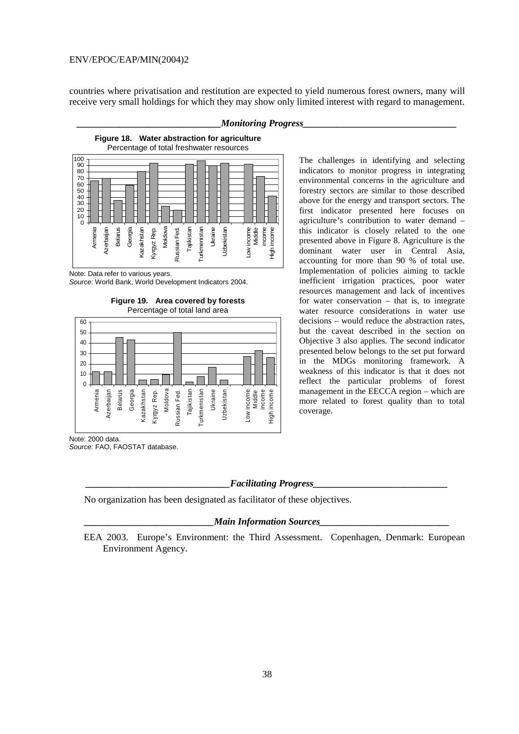countries where privatisation and restitution are expected to yield numerous forest owners, many will receive very small holdings for which they may show only limited interest with regard to management.

### *\_\_\_\_\_\_\_\_\_\_\_\_\_\_\_\_\_\_\_\_\_\_\_\_\_\_\_\_\_\_Monitoring Progress\_\_\_\_\_\_\_\_\_\_\_\_\_\_\_\_\_\_\_\_\_\_\_\_\_\_\_\_\_\_\_\_*

**Figure 18. Water abstraction for agriculture**  Percentage of total freshwater resources



Note: Data refer to various years.

Source: World Bank, World Development Indicators 2004.

**Figure 19. Area covered by forests**  Percentage of total land area



The challenges in identifying and selecting indicators to monitor progress in integrating environmental concerns in the agriculture and forestry sectors are similar to those described above for the energy and transport sectors. The first indicator presented here focuses on agriculture's contribution to water demand – this indicator is closely related to the one presented above in Figure 8. Agriculture is the dominant water user in Central Asia, accounting for more than 90 % of total use. Implementation of policies aiming to tackle inefficient irrigation practices, poor water resources management and lack of incentives for water conservation – that is, to integrate water resource considerations in water use decisions – would reduce the abstraction rates, but the caveat described in the section on Objective 3 also applies. The second indicator presented below belongs to the set put forward in the MDGs monitoring framework. A weakness of this indicator is that it does not reflect the particular problems of forest management in the EECCA region – which are more related to forest quality than to total coverage.

Note: 2000 data. Source: FAO, FAOSTAT database.

#### $Facilitating$  *Progress*

No organization has been designated as facilitator of these objectives.

#### *Main Information Sources*

EEA 2003. Europe's Environment: the Third Assessment. Copenhagen, Denmark: European Environment Agency.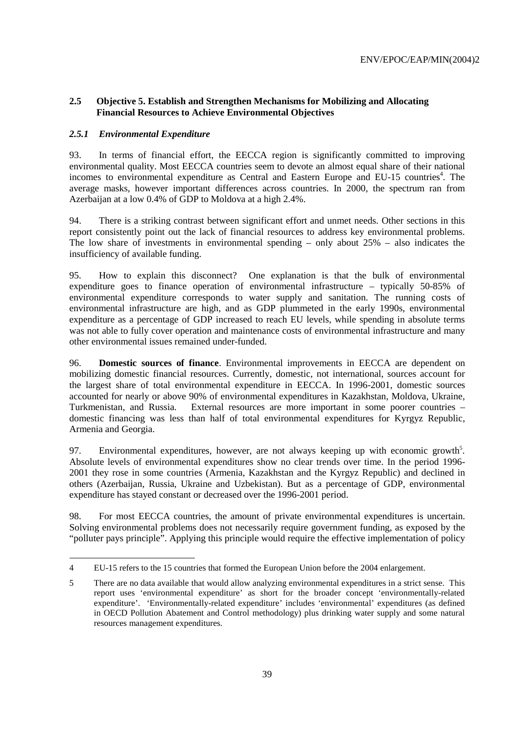# **2.5 Objective 5. Establish and Strengthen Mechanisms for Mobilizing and Allocating Financial Resources to Achieve Environmental Objectives**

### *2.5.1 Environmental Expenditure*

 $\overline{a}$ 

93. In terms of financial effort, the EECCA region is significantly committed to improving environmental quality. Most EECCA countries seem to devote an almost equal share of their national incomes to environmental expenditure as Central and Eastern Europe and EU-15 countries<sup>4</sup>. The average masks, however important differences across countries. In 2000, the spectrum ran from Azerbaijan at a low 0.4% of GDP to Moldova at a high 2.4%.

94. There is a striking contrast between significant effort and unmet needs. Other sections in this report consistently point out the lack of financial resources to address key environmental problems. The low share of investments in environmental spending – only about 25% – also indicates the insufficiency of available funding.

95. How to explain this disconnect? One explanation is that the bulk of environmental expenditure goes to finance operation of environmental infrastructure – typically 50-85% of environmental expenditure corresponds to water supply and sanitation. The running costs of environmental infrastructure are high, and as GDP plummeted in the early 1990s, environmental expenditure as a percentage of GDP increased to reach EU levels, while spending in absolute terms was not able to fully cover operation and maintenance costs of environmental infrastructure and many other environmental issues remained under-funded.

96. **Domestic sources of finance**. Environmental improvements in EECCA are dependent on mobilizing domestic financial resources. Currently, domestic, not international, sources account for the largest share of total environmental expenditure in EECCA. In 1996-2001, domestic sources accounted for nearly or above 90% of environmental expenditures in Kazakhstan, Moldova, Ukraine, Turkmenistan, and Russia. External resources are more important in some poorer countries – domestic financing was less than half of total environmental expenditures for Kyrgyz Republic, Armenia and Georgia.

97. Environmental expenditures, however, are not always keeping up with economic growth<sup>5</sup>. Absolute levels of environmental expenditures show no clear trends over time. In the period 1996- 2001 they rose in some countries (Armenia, Kazakhstan and the Kyrgyz Republic) and declined in others (Azerbaijan, Russia, Ukraine and Uzbekistan). But as a percentage of GDP, environmental expenditure has stayed constant or decreased over the 1996-2001 period.

98. For most EECCA countries, the amount of private environmental expenditures is uncertain. Solving environmental problems does not necessarily require government funding, as exposed by the "polluter pays principle". Applying this principle would require the effective implementation of policy

<sup>4</sup> EU-15 refers to the 15 countries that formed the European Union before the 2004 enlargement.

<sup>5</sup> There are no data available that would allow analyzing environmental expenditures in a strict sense. This report uses 'environmental expenditure' as short for the broader concept 'environmentally-related expenditure'. 'Environmentally-related expenditure' includes 'environmental' expenditures (as defined in OECD Pollution Abatement and Control methodology) plus drinking water supply and some natural resources management expenditures.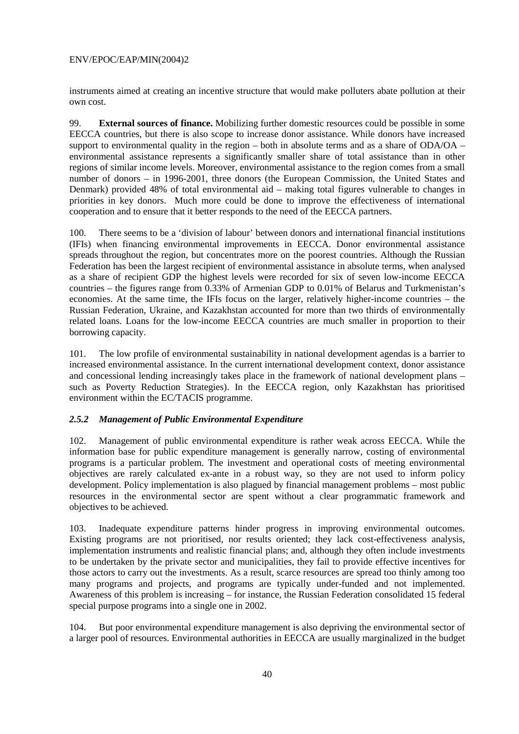instruments aimed at creating an incentive structure that would make polluters abate pollution at their own cost.

99. **External sources of finance.** Mobilizing further domestic resources could be possible in some EECCA countries, but there is also scope to increase donor assistance. While donors have increased support to environmental quality in the region – both in absolute terms and as a share of ODA/OA – environmental assistance represents a significantly smaller share of total assistance than in other regions of similar income levels. Moreover, environmental assistance to the region comes from a small number of donors – in 1996-2001, three donors (the European Commission, the United States and Denmark) provided 48% of total environmental aid – making total figures vulnerable to changes in priorities in key donors. Much more could be done to improve the effectiveness of international cooperation and to ensure that it better responds to the need of the EECCA partners.

100. There seems to be a 'division of labour' between donors and international financial institutions (IFIs) when financing environmental improvements in EECCA. Donor environmental assistance spreads throughout the region, but concentrates more on the poorest countries. Although the Russian Federation has been the largest recipient of environmental assistance in absolute terms, when analysed as a share of recipient GDP the highest levels were recorded for six of seven low-income EECCA countries – the figures range from 0.33% of Armenian GDP to 0.01% of Belarus and Turkmenistan's economies. At the same time, the IFIs focus on the larger, relatively higher-income countries – the Russian Federation, Ukraine, and Kazakhstan accounted for more than two thirds of environmentally related loans. Loans for the low-income EECCA countries are much smaller in proportion to their borrowing capacity.

101. The low profile of environmental sustainability in national development agendas is a barrier to increased environmental assistance. In the current international development context, donor assistance and concessional lending increasingly takes place in the framework of national development plans – such as Poverty Reduction Strategies). In the EECCA region, only Kazakhstan has prioritised environment within the EC/TACIS programme.

# *2.5.2 Management of Public Environmental Expenditure*

102. Management of public environmental expenditure is rather weak across EECCA. While the information base for public expenditure management is generally narrow, costing of environmental programs is a particular problem. The investment and operational costs of meeting environmental objectives are rarely calculated ex-ante in a robust way, so they are not used to inform policy development. Policy implementation is also plagued by financial management problems – most public resources in the environmental sector are spent without a clear programmatic framework and objectives to be achieved.

103. Inadequate expenditure patterns hinder progress in improving environmental outcomes. Existing programs are not prioritised, nor results oriented; they lack cost-effectiveness analysis, implementation instruments and realistic financial plans; and, although they often include investments to be undertaken by the private sector and municipalities, they fail to provide effective incentives for those actors to carry out the investments. As a result, scarce resources are spread too thinly among too many programs and projects, and programs are typically under-funded and not implemented. Awareness of this problem is increasing – for instance, the Russian Federation consolidated 15 federal special purpose programs into a single one in 2002.

104. But poor environmental expenditure management is also depriving the environmental sector of a larger pool of resources. Environmental authorities in EECCA are usually marginalized in the budget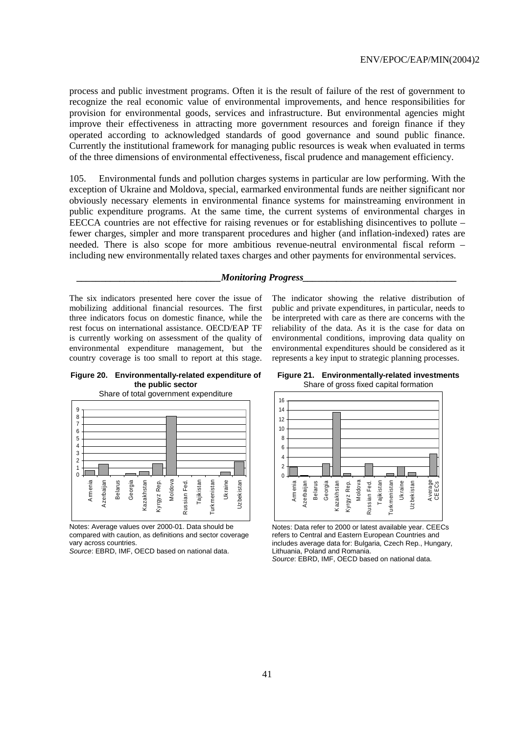process and public investment programs. Often it is the result of failure of the rest of government to recognize the real economic value of environmental improvements, and hence responsibilities for provision for environmental goods, services and infrastructure. But environmental agencies might improve their effectiveness in attracting more government resources and foreign finance if they operated according to acknowledged standards of good governance and sound public finance. Currently the institutional framework for managing public resources is weak when evaluated in terms of the three dimensions of environmental effectiveness, fiscal prudence and management efficiency.

105. Environmental funds and pollution charges systems in particular are low performing. With the exception of Ukraine and Moldova, special, earmarked environmental funds are neither significant nor obviously necessary elements in environmental finance systems for mainstreaming environment in public expenditure programs. At the same time, the current systems of environmental charges in EECCA countries are not effective for raising revenues or for establishing disincentives to pollute – fewer charges, simpler and more transparent procedures and higher (and inflation-indexed) rates are needed. There is also scope for more ambitious revenue-neutral environmental fiscal reform – including new environmentally related taxes charges and other payments for environmental services.

#### *Monitoring Progress\_*

The six indicators presented here cover the issue of mobilizing additional financial resources. The first three indicators focus on domestic finance, while the rest focus on international assistance. OECD/EAP TF is currently working on assessment of the quality of environmental expenditure management, but the country coverage is too small to report at this stage.

**Figure 20. Environmentally-related expenditure of the public sector** 



Notes: Average values over 2000-01. Data should be compared with caution, as definitions and sector coverage vary across countries.

Source: EBRD, IMF, OECD based on national data.

**Figure 21. Environmentally-related investments**  Share of gross fixed capital formation

The indicator showing the relative distribution of public and private expenditures, in particular, needs to be interpreted with care as there are concerns with the reliability of the data. As it is the case for data on environmental conditions, improving data quality on environmental expenditures should be considered as it represents a key input to strategic planning processes.



Notes: Data refer to 2000 or latest available year. CEECs refers to Central and Eastern European Countries and includes average data for: Bulgaria, Czech Rep., Hungary, Lithuania, Poland and Romania.

Source: EBRD, IMF, OECD based on national data.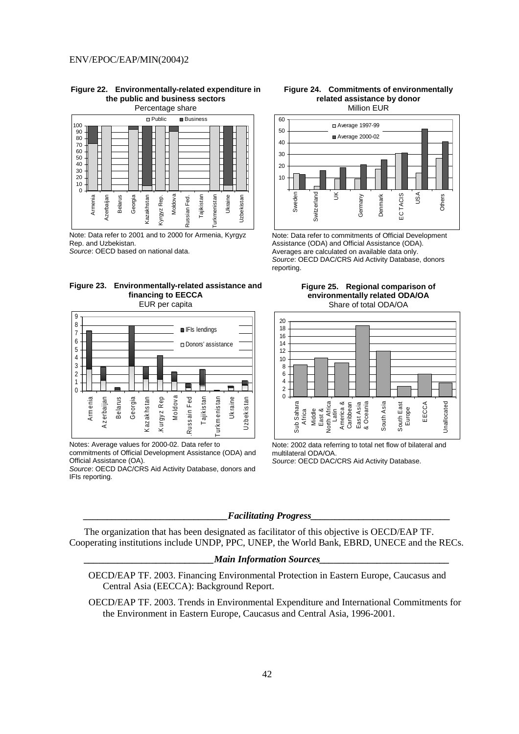**Figure 22. Environmentally-related expenditure in the public and business sectors**  Percentage share



Note: Data refer to 2001 and to 2000 for Armenia, Kyrgyz Rep. and Uzbekistan.

Source: OECD based on national data.





Notes: Average values for 2000-02. Data refer to commitments of Official Development Assistance (ODA) and Official Assistance (OA).

Source: OECD DAC/CRS Aid Activity Database, donors and IFIs reporting.

#### **Figure 24. Commitments of environmentally related assistance by donor**  Million EUR



Note: Data refer to commitments of Official Development Assistance (ODA) and Official Assistance (ODA). Averages are calculated on available data only. Source: OECD DAC/CRS Aid Activity Database, donors reporting.





Note: 2002 data referring to total net flow of bilateral and multilateral ODA/OA. Source: OECD DAC/CRS Aid Activity Database.

#### *\_\_\_\_\_\_\_\_\_\_\_\_\_\_\_\_\_\_\_\_\_\_\_\_\_\_\_\_\_\_Facilitating Progress\_\_\_\_\_\_\_\_\_\_\_\_\_\_\_\_\_\_\_\_\_\_\_\_\_\_\_\_\_*

 The organization that has been designated as facilitator of this objective is OECD/EAP TF. Cooperating institutions include UNDP, PPC, UNEP, the World Bank, EBRD, UNECE and the RECs.

# *Main Information Sources\_*

- OECD/EAP TF. 2003. Financing Environmental Protection in Eastern Europe, Caucasus and Central Asia (EECCA): Background Report.
- OECD/EAP TF. 2003. Trends in Environmental Expenditure and International Commitments for the Environment in Eastern Europe, Caucasus and Central Asia, 1996-2001.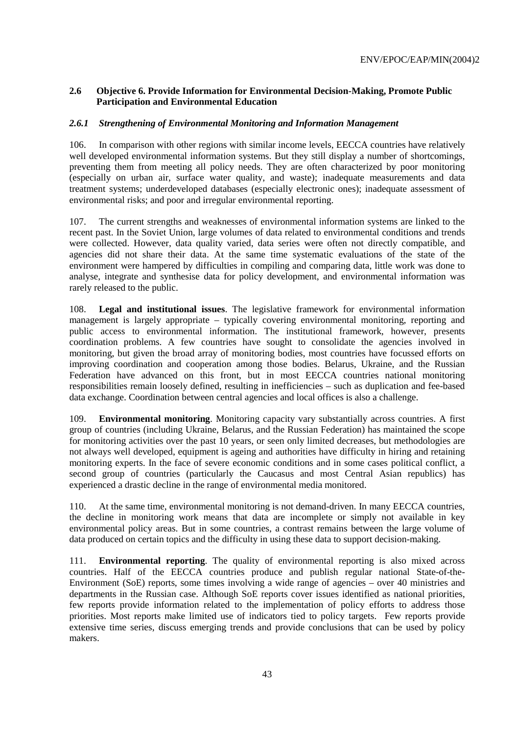# **2.6 Objective 6. Provide Information for Environmental Decision-Making, Promote Public Participation and Environmental Education**

### *2.6.1 Strengthening of Environmental Monitoring and Information Management*

106. In comparison with other regions with similar income levels, EECCA countries have relatively well developed environmental information systems. But they still display a number of shortcomings, preventing them from meeting all policy needs. They are often characterized by poor monitoring (especially on urban air, surface water quality, and waste); inadequate measurements and data treatment systems; underdeveloped databases (especially electronic ones); inadequate assessment of environmental risks; and poor and irregular environmental reporting.

107. The current strengths and weaknesses of environmental information systems are linked to the recent past. In the Soviet Union, large volumes of data related to environmental conditions and trends were collected. However, data quality varied, data series were often not directly compatible, and agencies did not share their data. At the same time systematic evaluations of the state of the environment were hampered by difficulties in compiling and comparing data, little work was done to analyse, integrate and synthesise data for policy development, and environmental information was rarely released to the public.

108. **Legal and institutional issues**. The legislative framework for environmental information management is largely appropriate – typically covering environmental monitoring, reporting and public access to environmental information. The institutional framework, however, presents coordination problems. A few countries have sought to consolidate the agencies involved in monitoring, but given the broad array of monitoring bodies, most countries have focussed efforts on improving coordination and cooperation among those bodies. Belarus, Ukraine, and the Russian Federation have advanced on this front, but in most EECCA countries national monitoring responsibilities remain loosely defined, resulting in inefficiencies – such as duplication and fee-based data exchange. Coordination between central agencies and local offices is also a challenge.

109. **Environmental monitoring**. Monitoring capacity vary substantially across countries. A first group of countries (including Ukraine, Belarus, and the Russian Federation) has maintained the scope for monitoring activities over the past 10 years, or seen only limited decreases, but methodologies are not always well developed, equipment is ageing and authorities have difficulty in hiring and retaining monitoring experts. In the face of severe economic conditions and in some cases political conflict, a second group of countries (particularly the Caucasus and most Central Asian republics) has experienced a drastic decline in the range of environmental media monitored.

110. At the same time, environmental monitoring is not demand-driven. In many EECCA countries, the decline in monitoring work means that data are incomplete or simply not available in key environmental policy areas. But in some countries, a contrast remains between the large volume of data produced on certain topics and the difficulty in using these data to support decision-making.

111. **Environmental reporting**. The quality of environmental reporting is also mixed across countries. Half of the EECCA countries produce and publish regular national State-of-the-Environment (SoE) reports, some times involving a wide range of agencies – over 40 ministries and departments in the Russian case. Although SoE reports cover issues identified as national priorities, few reports provide information related to the implementation of policy efforts to address those priorities. Most reports make limited use of indicators tied to policy targets. Few reports provide extensive time series, discuss emerging trends and provide conclusions that can be used by policy makers.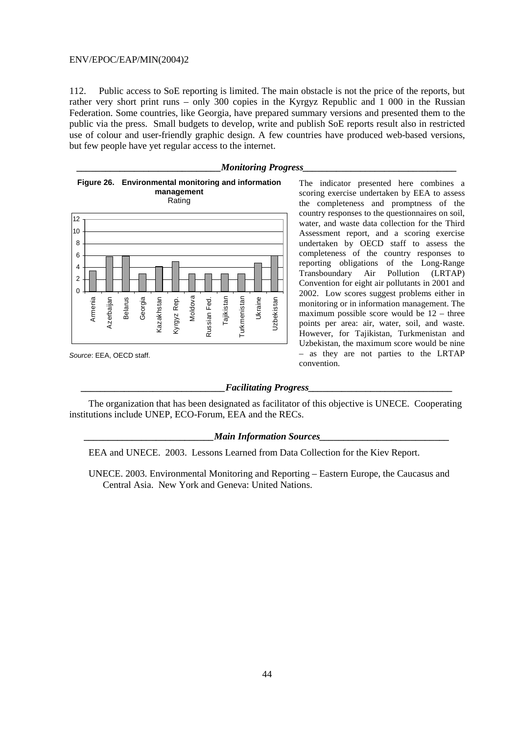112. Public access to SoE reporting is limited. The main obstacle is not the price of the reports, but rather very short print runs – only 300 copies in the Kyrgyz Republic and 1 000 in the Russian Federation. Some countries, like Georgia, have prepared summary versions and presented them to the public via the press. Small budgets to develop, write and publish SoE reports result also in restricted use of colour and user-friendly graphic design. A few countries have produced web-based versions, but few people have yet regular access to the internet.



Source: EEA, OECD staff.

*Monitoring Progress* 

The indicator presented here combines a scoring exercise undertaken by EEA to assess the completeness and promptness of the country responses to the questionnaires on soil, water, and waste data collection for the Third Assessment report, and a scoring exercise undertaken by OECD staff to assess the completeness of the country responses to reporting obligations of the Long-Range Transboundary Air Pollution (LRTAP) Convention for eight air pollutants in 2001 and 2002. Low scores suggest problems either in monitoring or in information management. The maximum possible score would be 12 – three points per area: air, water, soil, and waste. However, for Tajikistan, Turkmenistan and Uzbekistan, the maximum score would be nine – as they are not parties to the LRTAP convention.

#### $Facilitating$  *Progress*

The organization that has been designated as facilitator of this objective is UNECE. Cooperating institutions include UNEP, ECO-Forum, EEA and the RECs.

#### *Main Information Sources*

EEA and UNECE. 2003. Lessons Learned from Data Collection for the Kiev Report.

UNECE. 2003. Environmental Monitoring and Reporting – Eastern Europe, the Caucasus and Central Asia. New York and Geneva: United Nations.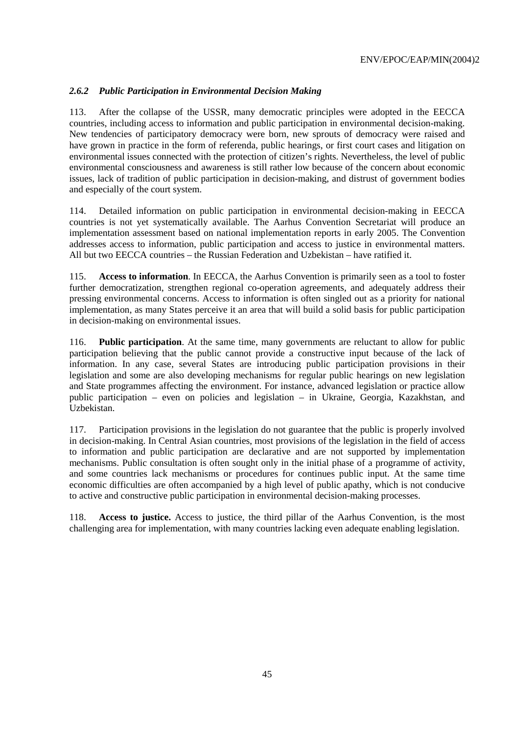# *2.6.2 Public Participation in Environmental Decision Making*

113. After the collapse of the USSR, many democratic principles were adopted in the EECCA countries, including access to information and public participation in environmental decision-making. New tendencies of participatory democracy were born, new sprouts of democracy were raised and have grown in practice in the form of referenda, public hearings, or first court cases and litigation on environmental issues connected with the protection of citizen's rights. Nevertheless, the level of public environmental consciousness and awareness is still rather low because of the concern about economic issues, lack of tradition of public participation in decision-making, and distrust of government bodies and especially of the court system.

114. Detailed information on public participation in environmental decision-making in EECCA countries is not yet systematically available. The Aarhus Convention Secretariat will produce an implementation assessment based on national implementation reports in early 2005. The Convention addresses access to information, public participation and access to justice in environmental matters. All but two EECCA countries – the Russian Federation and Uzbekistan – have ratified it.

115. **Access to information**. In EECCA, the Aarhus Convention is primarily seen as a tool to foster further democratization, strengthen regional co-operation agreements, and adequately address their pressing environmental concerns. Access to information is often singled out as a priority for national implementation, as many States perceive it an area that will build a solid basis for public participation in decision-making on environmental issues.

116. **Public participation**. At the same time, many governments are reluctant to allow for public participation believing that the public cannot provide a constructive input because of the lack of information. In any case, several States are introducing public participation provisions in their legislation and some are also developing mechanisms for regular public hearings on new legislation and State programmes affecting the environment. For instance, advanced legislation or practice allow public participation – even on policies and legislation – in Ukraine, Georgia, Kazakhstan, and Uzbekistan.

117. Participation provisions in the legislation do not guarantee that the public is properly involved in decision-making. In Central Asian countries, most provisions of the legislation in the field of access to information and public participation are declarative and are not supported by implementation mechanisms. Public consultation is often sought only in the initial phase of a programme of activity, and some countries lack mechanisms or procedures for continues public input. At the same time economic difficulties are often accompanied by a high level of public apathy, which is not conducive to active and constructive public participation in environmental decision-making processes.

118. **Access to justice.** Access to justice, the third pillar of the Aarhus Convention, is the most challenging area for implementation, with many countries lacking even adequate enabling legislation.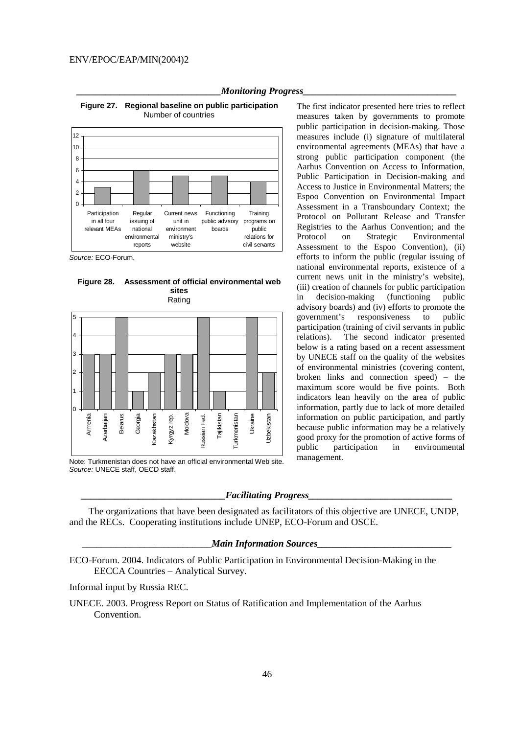

*Monitoring Progress* 

**Figure 27. Regional baseline on public participation**  Number of countries

Source: ECO-Forum.

**Figure 28. Assessment of official environmental web sites**  Rating



Note: Turkmenistan does not have an official environmental Web site. Source: UNECE staff, OECD staff.

The first indicator presented here tries to reflect measures taken by governments to promote public participation in decision-making. Those measures include (i) signature of multilateral environmental agreements (MEAs) that have a strong public participation component (the Aarhus Convention on Access to Information, Public Participation in Decision-making and Access to Justice in Environmental Matters; the Espoo Convention on Environmental Impact Assessment in a Transboundary Context; the Protocol on Pollutant Release and Transfer Registries to the Aarhus Convention; and the Protocol on Strategic Environmental Assessment to the Espoo Convention), (ii) efforts to inform the public (regular issuing of national environmental reports, existence of a current news unit in the ministry's website), (iii) creation of channels for public participation in decision-making (functioning public advisory boards) and (iv) efforts to promote the government's responsiveness to public participation (training of civil servants in public relations). The second indicator presented below is a rating based on a recent assessment by UNECE staff on the quality of the websites of environmental ministries (covering content, broken links and connection speed) – the maximum score would be five points. Both indicators lean heavily on the area of public information, partly due to lack of more detailed information on public participation, and partly because public information may be a relatively good proxy for the promotion of active forms of public participation in environmental management.

#### $Facilitating$  *Progress*

The organizations that have been designated as facilitators of this objective are UNECE, UNDP, and the RECs. Cooperating institutions include UNEP, ECO-Forum and OSCE.

#### \_\_\_\_\_\_\_\_\_\_\_\_\_\_\_\_\_\_\_\_\_\_\_\_\_\_\_*Main Information Sources\_\_\_\_\_\_\_\_\_\_\_\_\_\_\_\_\_\_\_\_\_\_\_\_\_\_\_\_*

ECO-Forum. 2004. Indicators of Public Participation in Environmental Decision-Making in the EECCA Countries – Analytical Survey.

Informal input by Russia REC.

UNECE. 2003. Progress Report on Status of Ratification and Implementation of the Aarhus Convention.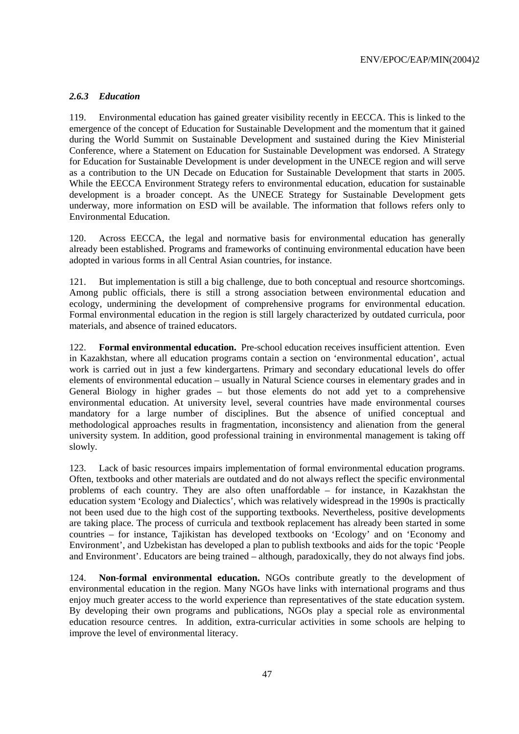# *2.6.3 Education*

119. Environmental education has gained greater visibility recently in EECCA. This is linked to the emergence of the concept of Education for Sustainable Development and the momentum that it gained during the World Summit on Sustainable Development and sustained during the Kiev Ministerial Conference, where a Statement on Education for Sustainable Development was endorsed. A Strategy for Education for Sustainable Development is under development in the UNECE region and will serve as a contribution to the UN Decade on Education for Sustainable Development that starts in 2005. While the EECCA Environment Strategy refers to environmental education, education for sustainable development is a broader concept. As the UNECE Strategy for Sustainable Development gets underway, more information on ESD will be available. The information that follows refers only to Environmental Education.

120. Across EECCA, the legal and normative basis for environmental education has generally already been established. Programs and frameworks of continuing environmental education have been adopted in various forms in all Central Asian countries, for instance.

121. But implementation is still a big challenge, due to both conceptual and resource shortcomings. Among public officials, there is still a strong association between environmental education and ecology, undermining the development of comprehensive programs for environmental education. Formal environmental education in the region is still largely characterized by outdated curricula, poor materials, and absence of trained educators.

122. **Formal environmental education.** Pre-school education receives insufficient attention. Even in Kazakhstan, where all education programs contain a section on 'environmental education', actual work is carried out in just a few kindergartens. Primary and secondary educational levels do offer elements of environmental education – usually in Natural Science courses in elementary grades and in General Biology in higher grades – but those elements do not add yet to a comprehensive environmental education. At university level, several countries have made environmental courses mandatory for a large number of disciplines. But the absence of unified conceptual and methodological approaches results in fragmentation, inconsistency and alienation from the general university system. In addition, good professional training in environmental management is taking off slowly.

123. Lack of basic resources impairs implementation of formal environmental education programs. Often, textbooks and other materials are outdated and do not always reflect the specific environmental problems of each country. They are also often unaffordable – for instance, in Kazakhstan the education system 'Ecology and Dialectics', which was relatively widespread in the 1990s is practically not been used due to the high cost of the supporting textbooks. Nevertheless, positive developments are taking place. The process of curricula and textbook replacement has already been started in some countries – for instance, Tajikistan has developed textbooks on 'Ecology' and on 'Economy and Environment', and Uzbekistan has developed a plan to publish textbooks and aids for the topic 'People and Environment'. Educators are being trained – although, paradoxically, they do not always find jobs.

124. **Non-formal environmental education.** NGOs contribute greatly to the development of environmental education in the region. Many NGOs have links with international programs and thus enjoy much greater access to the world experience than representatives of the state education system. By developing their own programs and publications, NGOs play a special role as environmental education resource centres. In addition, extra-curricular activities in some schools are helping to improve the level of environmental literacy.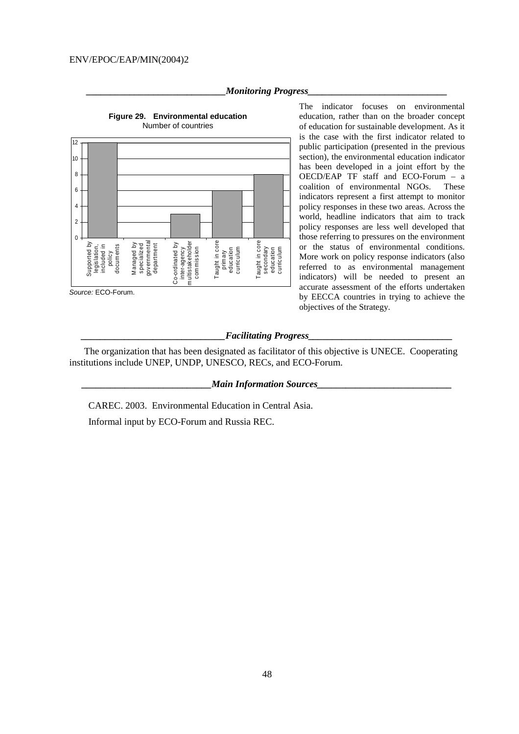

*Monitoring Progress* 

The indicator focuses on environmental education, rather than on the broader concept of education for sustainable development. As it is the case with the first indicator related to public participation (presented in the previous section), the environmental education indicator has been developed in a joint effort by the OECD/EAP TF staff and ECO-Forum – a coalition of environmental NGOs. These indicators represent a first attempt to monitor policy responses in these two areas. Across the world, headline indicators that aim to track policy responses are less well developed that those referring to pressures on the environment or the status of environmental conditions. More work on policy response indicators (also referred to as environmental management indicators) will be needed to present an accurate assessment of the efforts undertaken by EECCA countries in trying to achieve the objectives of the Strategy.

# **Figure 29. Environmental education**

Source: ECO-Forum.

#### *\_\_\_\_\_\_\_\_\_\_\_\_\_\_\_\_\_\_\_\_\_\_\_\_\_\_\_\_\_\_Facilitating Progress\_\_\_\_\_\_\_\_\_\_\_\_\_\_\_\_\_\_\_\_\_\_\_\_\_\_\_\_\_\_*

 The organization that has been designated as facilitator of this objective is UNECE. Cooperating institutions include UNEP, UNDP, UNESCO, RECs, and ECO-Forum.

*\_\_\_\_\_\_\_\_\_\_\_\_\_\_\_\_\_\_\_\_\_\_\_\_\_\_\_Main Information Sources\_\_\_\_\_\_\_\_\_\_\_\_\_\_\_\_\_\_\_\_\_\_\_\_\_\_\_\_* 

CAREC. 2003. Environmental Education in Central Asia.

Informal input by ECO-Forum and Russia REC.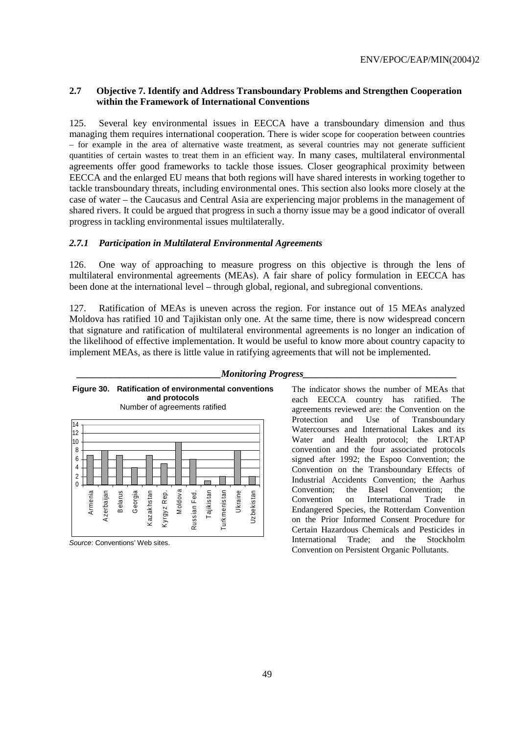### **2.7 Objective 7. Identify and Address Transboundary Problems and Strengthen Cooperation within the Framework of International Conventions**

125. Several key environmental issues in EECCA have a transboundary dimension and thus managing them requires international cooperation. There is wider scope for cooperation between countries – for example in the area of alternative waste treatment, as several countries may not generate sufficient quantities of certain wastes to treat them in an efficient way. In many cases, multilateral environmental agreements offer good frameworks to tackle those issues. Closer geographical proximity between EECCA and the enlarged EU means that both regions will have shared interests in working together to tackle transboundary threats, including environmental ones. This section also looks more closely at the case of water – the Caucasus and Central Asia are experiencing major problems in the management of shared rivers. It could be argued that progress in such a thorny issue may be a good indicator of overall progress in tackling environmental issues multilaterally.

### *2.7.1 Participation in Multilateral Environmental Agreements*

126. One way of approaching to measure progress on this objective is through the lens of multilateral environmental agreements (MEAs). A fair share of policy formulation in EECCA has been done at the international level – through global, regional, and subregional conventions.

127. Ratification of MEAs is uneven across the region. For instance out of 15 MEAs analyzed Moldova has ratified 10 and Tajikistan only one. At the same time, there is now widespread concern that signature and ratification of multilateral environmental agreements is no longer an indication of the likelihood of effective implementation. It would be useful to know more about country capacity to implement MEAs, as there is little value in ratifying agreements that will not be implemented.



**Figure 30. Ratification of environmental conventions and protocols** 

#### *\_\_\_\_\_\_\_\_\_\_\_\_\_\_\_\_\_\_\_\_\_\_\_\_\_\_\_\_\_\_Monitoring Progress\_\_\_\_\_\_\_\_\_\_\_\_\_\_\_\_\_\_\_\_\_\_\_\_\_\_\_\_\_\_\_\_*

The indicator shows the number of MEAs that each EECCA country has ratified. The agreements reviewed are: the Convention on the Protection and Use of Transboundary Watercourses and International Lakes and its Water and Health protocol; the LRTAP convention and the four associated protocols signed after 1992; the Espoo Convention; the Convention on the Transboundary Effects of Industrial Accidents Convention; the Aarhus Convention; the Basel Convention; the Convention on International Trade in Endangered Species, the Rotterdam Convention on the Prior Informed Consent Procedure for Certain Hazardous Chemicals and Pesticides in International Trade; and the Stockholm Convention on Persistent Organic Pollutants.

Source: Conventions' Web sites.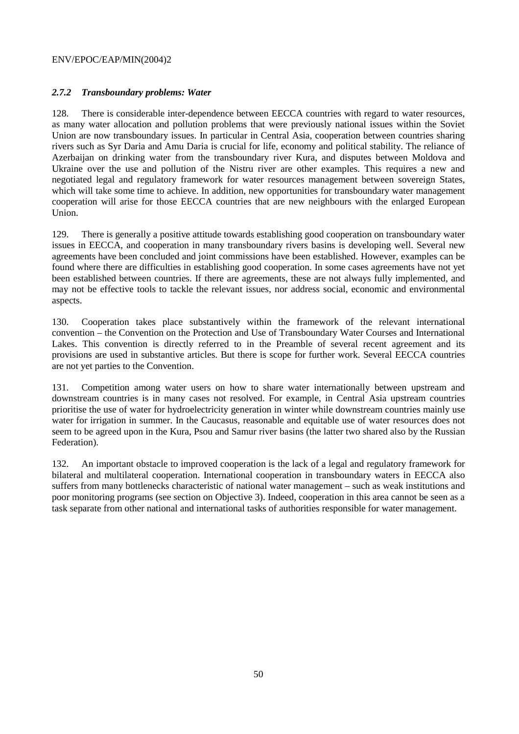# *2.7.2 Transboundary problems: Water*

128. There is considerable inter-dependence between EECCA countries with regard to water resources, as many water allocation and pollution problems that were previously national issues within the Soviet Union are now transboundary issues. In particular in Central Asia, cooperation between countries sharing rivers such as Syr Daria and Amu Daria is crucial for life, economy and political stability. The reliance of Azerbaijan on drinking water from the transboundary river Kura, and disputes between Moldova and Ukraine over the use and pollution of the Nistru river are other examples. This requires a new and negotiated legal and regulatory framework for water resources management between sovereign States, which will take some time to achieve. In addition, new opportunities for transboundary water management cooperation will arise for those EECCA countries that are new neighbours with the enlarged European Union.

129. There is generally a positive attitude towards establishing good cooperation on transboundary water issues in EECCA, and cooperation in many transboundary rivers basins is developing well. Several new agreements have been concluded and joint commissions have been established. However, examples can be found where there are difficulties in establishing good cooperation. In some cases agreements have not yet been established between countries. If there are agreements, these are not always fully implemented, and may not be effective tools to tackle the relevant issues, nor address social, economic and environmental aspects.

130. Cooperation takes place substantively within the framework of the relevant international convention – the Convention on the Protection and Use of Transboundary Water Courses and International Lakes. This convention is directly referred to in the Preamble of several recent agreement and its provisions are used in substantive articles. But there is scope for further work. Several EECCA countries are not yet parties to the Convention.

131. Competition among water users on how to share water internationally between upstream and downstream countries is in many cases not resolved. For example, in Central Asia upstream countries prioritise the use of water for hydroelectricity generation in winter while downstream countries mainly use water for irrigation in summer. In the Caucasus, reasonable and equitable use of water resources does not seem to be agreed upon in the Kura, Psou and Samur river basins (the latter two shared also by the Russian Federation).

132. An important obstacle to improved cooperation is the lack of a legal and regulatory framework for bilateral and multilateral cooperation. International cooperation in transboundary waters in EECCA also suffers from many bottlenecks characteristic of national water management – such as weak institutions and poor monitoring programs (see section on Objective 3). Indeed, cooperation in this area cannot be seen as a task separate from other national and international tasks of authorities responsible for water management.